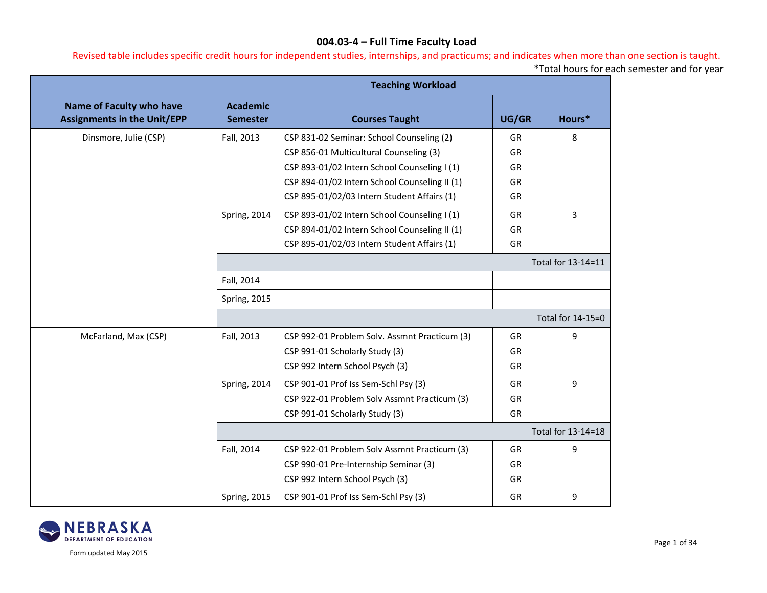Revised table includes specific credit hours for independent studies, internships, and practicums; and indicates when more than one section is taught.

\*Total hours for each semester and for year

|                                                                       |                                    | <b>Teaching Workload</b>                      |           |                    |
|-----------------------------------------------------------------------|------------------------------------|-----------------------------------------------|-----------|--------------------|
| <b>Name of Faculty who have</b><br><b>Assignments in the Unit/EPP</b> | <b>Academic</b><br><b>Semester</b> | <b>Courses Taught</b>                         | UG/GR     | Hours*             |
| Dinsmore, Julie (CSP)                                                 | Fall, 2013                         | CSP 831-02 Seminar: School Counseling (2)     | GR        | 8                  |
|                                                                       |                                    | CSP 856-01 Multicultural Counseling (3)       | GR        |                    |
|                                                                       |                                    | CSP 893-01/02 Intern School Counseling I (1)  | GR        |                    |
|                                                                       |                                    | CSP 894-01/02 Intern School Counseling II (1) | GR        |                    |
|                                                                       |                                    | CSP 895-01/02/03 Intern Student Affairs (1)   | <b>GR</b> |                    |
|                                                                       | Spring, 2014                       | CSP 893-01/02 Intern School Counseling I (1)  | GR        | 3                  |
|                                                                       |                                    | CSP 894-01/02 Intern School Counseling II (1) | GR        |                    |
|                                                                       |                                    | CSP 895-01/02/03 Intern Student Affairs (1)   | <b>GR</b> |                    |
|                                                                       |                                    |                                               |           | Total for 13-14=11 |
|                                                                       | Fall, 2014                         |                                               |           |                    |
|                                                                       | Spring, 2015                       |                                               |           |                    |
|                                                                       |                                    |                                               |           | Total for 14-15=0  |
| McFarland, Max (CSP)                                                  | Fall, 2013                         | CSP 992-01 Problem Solv. Assmnt Practicum (3) | GR        | 9                  |
|                                                                       |                                    | CSP 991-01 Scholarly Study (3)                | <b>GR</b> |                    |
|                                                                       |                                    | CSP 992 Intern School Psych (3)               | <b>GR</b> |                    |
|                                                                       | Spring, 2014                       | CSP 901-01 Prof Iss Sem-Schl Psy (3)          | GR        | 9                  |
|                                                                       |                                    | CSP 922-01 Problem Solv Assmnt Practicum (3)  | GR        |                    |
|                                                                       |                                    | CSP 991-01 Scholarly Study (3)                | GR        |                    |
|                                                                       |                                    |                                               |           | Total for 13-14=18 |
|                                                                       | Fall, 2014                         | CSP 922-01 Problem Solv Assmnt Practicum (3)  | GR        | 9                  |
|                                                                       |                                    | CSP 990-01 Pre-Internship Seminar (3)         | GR        |                    |
|                                                                       |                                    | CSP 992 Intern School Psych (3)               | GR        |                    |
|                                                                       | Spring, 2015                       | CSP 901-01 Prof Iss Sem-Schl Psy (3)          | GR        | 9                  |

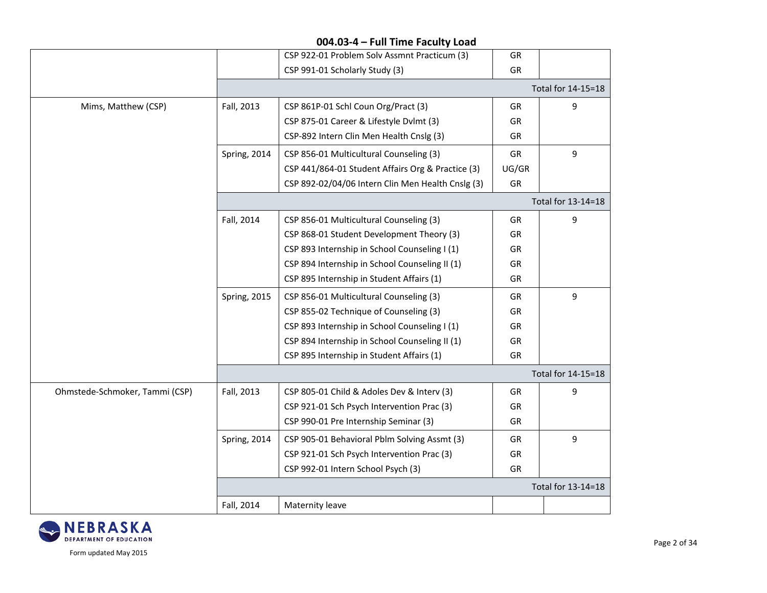|              | CSP 922-01 Problem Solv Assmnt Practicum (3)      | <b>GR</b> |                    |
|--------------|---------------------------------------------------|-----------|--------------------|
|              | CSP 991-01 Scholarly Study (3)                    | GR        |                    |
|              |                                                   |           | Total for 14-15=18 |
| Fall, 2013   | CSP 861P-01 Schl Coun Org/Pract (3)               | GR        | 9                  |
|              | CSP 875-01 Career & Lifestyle Dvlmt (3)           | GR        |                    |
|              | CSP-892 Intern Clin Men Health Cnslg (3)          | <b>GR</b> |                    |
| Spring, 2014 | CSP 856-01 Multicultural Counseling (3)           | GR        | 9                  |
|              | CSP 441/864-01 Student Affairs Org & Practice (3) | UG/GR     |                    |
|              | CSP 892-02/04/06 Intern Clin Men Health Cnslg (3) | GR        |                    |
|              |                                                   |           | Total for 13-14=18 |
| Fall, 2014   | CSP 856-01 Multicultural Counseling (3)           | GR        | 9                  |
|              | CSP 868-01 Student Development Theory (3)         | GR        |                    |
|              | CSP 893 Internship in School Counseling I (1)     | GR        |                    |
|              | CSP 894 Internship in School Counseling II (1)    | GR        |                    |
|              | CSP 895 Internship in Student Affairs (1)         | GR        |                    |
| Spring, 2015 | CSP 856-01 Multicultural Counseling (3)           | <b>GR</b> | 9                  |
|              | CSP 855-02 Technique of Counseling (3)            | GR        |                    |
|              | CSP 893 Internship in School Counseling I (1)     | GR        |                    |
|              | CSP 894 Internship in School Counseling II (1)    | GR        |                    |
|              | CSP 895 Internship in Student Affairs (1)         | GR        |                    |
|              |                                                   |           | Total for 14-15=18 |
| Fall, 2013   | CSP 805-01 Child & Adoles Dev & Interv (3)        | GR        | 9                  |
|              | CSP 921-01 Sch Psych Intervention Prac (3)        | <b>GR</b> |                    |
|              | CSP 990-01 Pre Internship Seminar (3)             | GR        |                    |
| Spring, 2014 | CSP 905-01 Behavioral Pblm Solving Assmt (3)      | <b>GR</b> | 9                  |
|              | CSP 921-01 Sch Psych Intervention Prac (3)        | GR        |                    |
|              | CSP 992-01 Intern School Psych (3)                | GR        |                    |
|              |                                                   |           | Total for 13-14=18 |
| Fall, 2014   | Maternity leave                                   |           |                    |
|              |                                                   |           |                    |

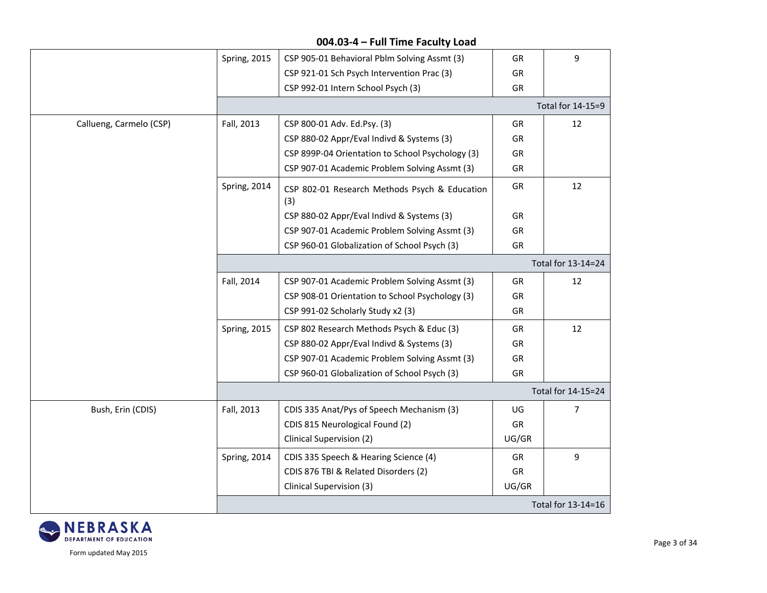|                         | Spring, 2015 | CSP 905-01 Behavioral Pblm Solving Assmt (3)         | GR        | 9                  |
|-------------------------|--------------|------------------------------------------------------|-----------|--------------------|
|                         |              | CSP 921-01 Sch Psych Intervention Prac (3)           | GR        |                    |
|                         |              | CSP 992-01 Intern School Psych (3)                   | GR        |                    |
|                         |              |                                                      |           | Total for 14-15=9  |
| Callueng, Carmelo (CSP) | Fall, 2013   | CSP 800-01 Adv. Ed.Psy. (3)                          | <b>GR</b> | 12                 |
|                         |              | CSP 880-02 Appr/Eval Indivd & Systems (3)            | GR        |                    |
|                         |              | CSP 899P-04 Orientation to School Psychology (3)     | GR        |                    |
|                         |              | CSP 907-01 Academic Problem Solving Assmt (3)        | GR        |                    |
|                         | Spring, 2014 | CSP 802-01 Research Methods Psych & Education<br>(3) | GR        | 12                 |
|                         |              | CSP 880-02 Appr/Eval Indivd & Systems (3)            | <b>GR</b> |                    |
|                         |              | CSP 907-01 Academic Problem Solving Assmt (3)        | GR        |                    |
|                         |              | CSP 960-01 Globalization of School Psych (3)         | GR        |                    |
|                         |              |                                                      |           | Total for 13-14=24 |
|                         | Fall, 2014   | CSP 907-01 Academic Problem Solving Assmt (3)        | GR        | 12                 |
|                         |              | CSP 908-01 Orientation to School Psychology (3)      | GR        |                    |
|                         |              | CSP 991-02 Scholarly Study x2 (3)                    | GR        |                    |
|                         | Spring, 2015 | CSP 802 Research Methods Psych & Educ (3)            | GR        | 12                 |
|                         |              | CSP 880-02 Appr/Eval Indivd & Systems (3)            | GR        |                    |
|                         |              | CSP 907-01 Academic Problem Solving Assmt (3)        | GR        |                    |
|                         |              | CSP 960-01 Globalization of School Psych (3)         | GR        |                    |
|                         |              |                                                      |           | Total for 14-15=24 |
| Bush, Erin (CDIS)       | Fall, 2013   | CDIS 335 Anat/Pys of Speech Mechanism (3)            | UG        | $\overline{7}$     |
|                         |              | CDIS 815 Neurological Found (2)                      | GR        |                    |
|                         |              | Clinical Supervision (2)                             | UG/GR     |                    |
|                         | Spring, 2014 | CDIS 335 Speech & Hearing Science (4)                | GR        | 9                  |
|                         |              | CDIS 876 TBI & Related Disorders (2)                 | GR        |                    |
|                         |              | Clinical Supervision (3)                             | UG/GR     |                    |
|                         |              |                                                      |           | Total for 13-14=16 |

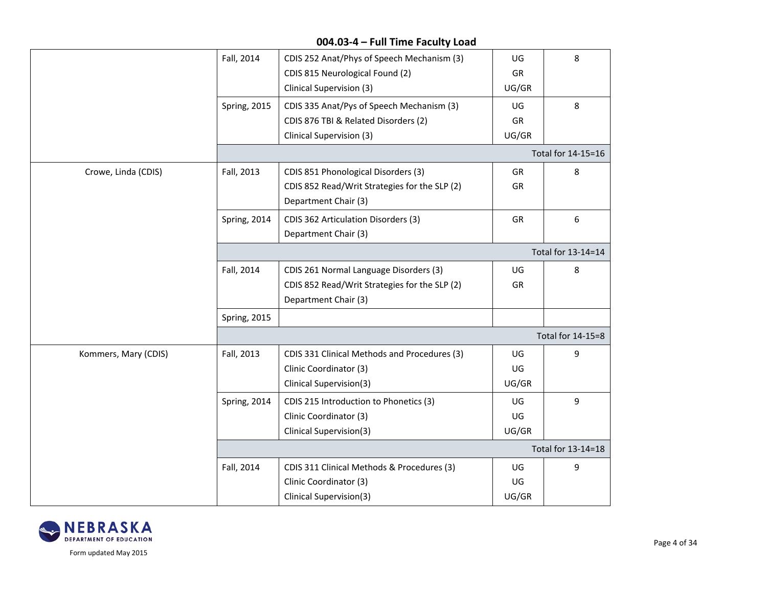|                      | Fall, 2014   | CDIS 252 Anat/Phys of Speech Mechanism (3)    | UG    | 8                  |  |  |
|----------------------|--------------|-----------------------------------------------|-------|--------------------|--|--|
|                      |              | CDIS 815 Neurological Found (2)               | GR    |                    |  |  |
|                      |              | Clinical Supervision (3)                      | UG/GR |                    |  |  |
|                      | Spring, 2015 | CDIS 335 Anat/Pys of Speech Mechanism (3)     | UG    | 8                  |  |  |
|                      |              | CDIS 876 TBI & Related Disorders (2)          | GR    |                    |  |  |
|                      |              | Clinical Supervision (3)                      | UG/GR |                    |  |  |
|                      |              |                                               |       | Total for 14-15=16 |  |  |
| Crowe, Linda (CDIS)  | Fall, 2013   | CDIS 851 Phonological Disorders (3)           | GR    | 8                  |  |  |
|                      |              | CDIS 852 Read/Writ Strategies for the SLP (2) | GR    |                    |  |  |
|                      |              | Department Chair (3)                          |       |                    |  |  |
|                      | Spring, 2014 | CDIS 362 Articulation Disorders (3)           | GR    | 6                  |  |  |
|                      |              | Department Chair (3)                          |       |                    |  |  |
|                      |              | Total for 13-14=14                            |       |                    |  |  |
|                      | Fall, 2014   | CDIS 261 Normal Language Disorders (3)        | UG    | 8                  |  |  |
|                      |              | CDIS 852 Read/Writ Strategies for the SLP (2) | GR    |                    |  |  |
|                      |              | Department Chair (3)                          |       |                    |  |  |
|                      | Spring, 2015 |                                               |       |                    |  |  |
|                      |              |                                               |       | Total for 14-15=8  |  |  |
| Kommers, Mary (CDIS) | Fall, 2013   | CDIS 331 Clinical Methods and Procedures (3)  | UG    | 9                  |  |  |
|                      |              | Clinic Coordinator (3)                        | UG    |                    |  |  |
|                      |              | Clinical Supervision(3)                       | UG/GR |                    |  |  |
|                      | Spring, 2014 | CDIS 215 Introduction to Phonetics (3)        | UG    | 9                  |  |  |
|                      |              | Clinic Coordinator (3)                        | UG    |                    |  |  |
|                      |              | Clinical Supervision(3)                       | UG/GR |                    |  |  |
|                      |              |                                               |       | Total for 13-14=18 |  |  |
|                      | Fall, 2014   | CDIS 311 Clinical Methods & Procedures (3)    | UG    | 9                  |  |  |
|                      |              | Clinic Coordinator (3)                        | UG    |                    |  |  |
|                      |              | Clinical Supervision(3)                       | UG/GR |                    |  |  |

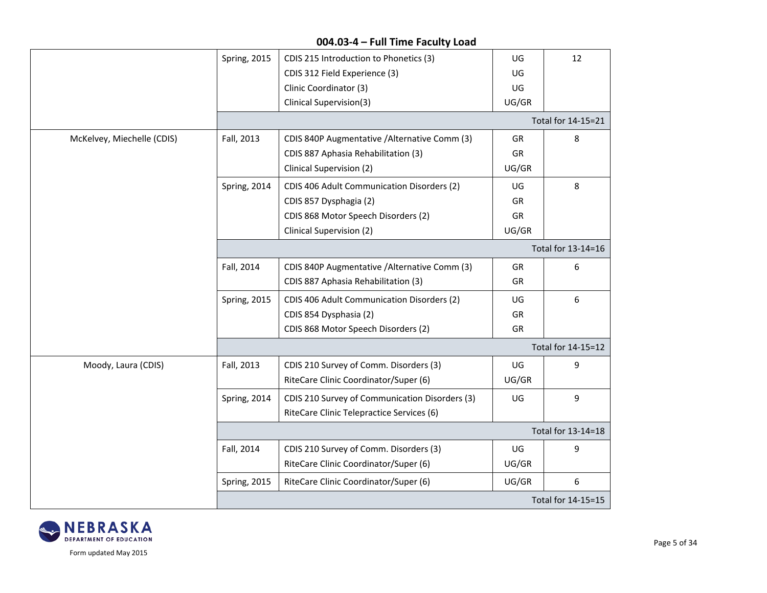#### **004.03-4 – Full Time Faculty Load** Spring, 2015 | CDIS 215 Introduction to Phonetics (3) CDIS 312 Field Experience (3) Clinic Coordinator (3) Clinical Supervision(3) UG UG UG UG/GR 12 Total for 14-15=21 McKelvey, Miechelle (CDIS) | Fall, 2013 | CDIS 840P Augmentative /Alternative Comm (3) CDIS 887 Aphasia Rehabilitation (3) Clinical Supervision (2) GR GR UG/GR 8 Spring, 2014 CDIS 406 Adult Communication Disorders (2) CDIS 857 Dysphagia (2) CDIS 868 Motor Speech Disorders (2) Clinical Supervision (2) UG GR GR UG/GR 8 Total for 13-14=16 Fall, 2014 | CDIS 840P Augmentative / Alternative Comm (3) CDIS 887 Aphasia Rehabilitation (3) GR GR 6 Spring, 2015 | CDIS 406 Adult Communication Disorders (2) CDIS 854 Dysphasia (2) CDIS 868 Motor Speech Disorders (2) UG GR GR 6 Total for 14-15=12 Moody, Laura (CDIS) Fall, 2013 CDIS 210 Survey of Comm. Disorders (3) RiteCare Clinic Coordinator/Super (6) UG UG/GR 9 Spring, 2014 | CDIS 210 Survey of Communication Disorders (3) RiteCare Clinic Telepractice Services (6) UG 9 Total for 13-14=18 Fall, 2014 CDIS 210 Survey of Comm. Disorders (3) RiteCare Clinic Coordinator/Super (6) UG UG/GR 9 Spring, 2015 | RiteCare Clinic Coordinator/Super (6) | UG/GR | 6 Total for 14-15=15

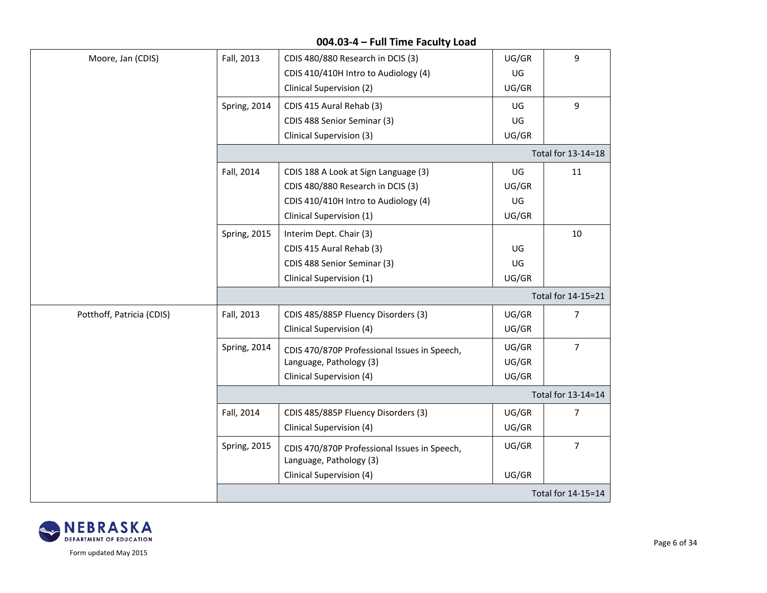| Moore, Jan (CDIS)         | Fall, 2013          | CDIS 480/880 Research in DCIS (3)                                       | UG/GR | 9                  |  |  |
|---------------------------|---------------------|-------------------------------------------------------------------------|-------|--------------------|--|--|
|                           |                     | CDIS 410/410H Intro to Audiology (4)                                    | UG    |                    |  |  |
|                           |                     | Clinical Supervision (2)                                                | UG/GR |                    |  |  |
|                           | Spring, 2014        | CDIS 415 Aural Rehab (3)                                                | UG    | $9\,$              |  |  |
|                           |                     | CDIS 488 Senior Seminar (3)                                             | UG    |                    |  |  |
|                           |                     | Clinical Supervision (3)                                                | UG/GR |                    |  |  |
|                           |                     |                                                                         |       | Total for 13-14=18 |  |  |
|                           | Fall, 2014          | CDIS 188 A Look at Sign Language (3)                                    | UG    | 11                 |  |  |
|                           |                     | CDIS 480/880 Research in DCIS (3)                                       | UG/GR |                    |  |  |
|                           |                     | CDIS 410/410H Intro to Audiology (4)                                    | UG    |                    |  |  |
|                           |                     | Clinical Supervision (1)                                                | UG/GR |                    |  |  |
|                           | <b>Spring, 2015</b> | Interim Dept. Chair (3)                                                 |       | 10                 |  |  |
|                           |                     | CDIS 415 Aural Rehab (3)                                                | UG    |                    |  |  |
|                           |                     | CDIS 488 Senior Seminar (3)                                             | UG    |                    |  |  |
|                           |                     | Clinical Supervision (1)                                                | UG/GR |                    |  |  |
|                           |                     |                                                                         |       | Total for 14-15=21 |  |  |
| Potthoff, Patricia (CDIS) | Fall, 2013          | CDIS 485/885P Fluency Disorders (3)                                     | UG/GR | $\overline{7}$     |  |  |
|                           |                     | Clinical Supervision (4)                                                | UG/GR |                    |  |  |
|                           | Spring, 2014        | CDIS 470/870P Professional Issues in Speech,                            | UG/GR | $\overline{7}$     |  |  |
|                           |                     | Language, Pathology (3)                                                 | UG/GR |                    |  |  |
|                           |                     | Clinical Supervision (4)                                                | UG/GR |                    |  |  |
|                           |                     | Total for 13-14=14                                                      |       |                    |  |  |
|                           | Fall, 2014          | CDIS 485/885P Fluency Disorders (3)                                     | UG/GR | 7                  |  |  |
|                           |                     | Clinical Supervision (4)                                                | UG/GR |                    |  |  |
|                           | <b>Spring, 2015</b> | CDIS 470/870P Professional Issues in Speech,<br>Language, Pathology (3) | UG/GR | $\overline{7}$     |  |  |
|                           |                     | Clinical Supervision (4)                                                | UG/GR |                    |  |  |
|                           | Total for 14-15=14  |                                                                         |       |                    |  |  |
|                           |                     |                                                                         |       |                    |  |  |

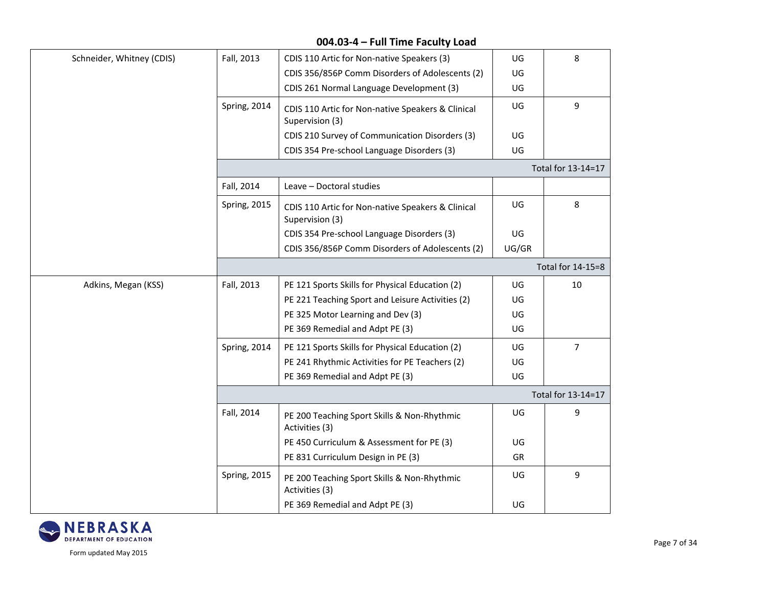| Schneider, Whitney (CDIS) | Fall, 2013   | CDIS 110 Artic for Non-native Speakers (3)                           | UG    | 8                  |
|---------------------------|--------------|----------------------------------------------------------------------|-------|--------------------|
|                           |              | CDIS 356/856P Comm Disorders of Adolescents (2)                      | UG    |                    |
|                           |              | CDIS 261 Normal Language Development (3)                             | UG    |                    |
|                           | Spring, 2014 | CDIS 110 Artic for Non-native Speakers & Clinical<br>Supervision (3) | UG    | 9                  |
|                           |              | CDIS 210 Survey of Communication Disorders (3)                       | UG    |                    |
|                           |              | CDIS 354 Pre-school Language Disorders (3)                           | UG    |                    |
|                           |              |                                                                      |       | Total for 13-14=17 |
|                           | Fall, 2014   | Leave - Doctoral studies                                             |       |                    |
|                           | Spring, 2015 | CDIS 110 Artic for Non-native Speakers & Clinical<br>Supervision (3) | UG    | 8                  |
|                           |              | CDIS 354 Pre-school Language Disorders (3)                           | UG    |                    |
|                           |              | CDIS 356/856P Comm Disorders of Adolescents (2)                      | UG/GR |                    |
|                           |              |                                                                      |       | Total for 14-15=8  |
| Adkins, Megan (KSS)       | Fall, 2013   | PE 121 Sports Skills for Physical Education (2)                      | UG    | 10                 |
|                           |              | PE 221 Teaching Sport and Leisure Activities (2)                     | UG    |                    |
|                           |              | PE 325 Motor Learning and Dev (3)                                    | UG    |                    |
|                           |              | PE 369 Remedial and Adpt PE (3)                                      | UG    |                    |
|                           | Spring, 2014 | PE 121 Sports Skills for Physical Education (2)                      | UG    | $\overline{7}$     |
|                           |              | PE 241 Rhythmic Activities for PE Teachers (2)                       | UG    |                    |
|                           |              | PE 369 Remedial and Adpt PE (3)                                      | UG    |                    |
|                           |              |                                                                      |       | Total for 13-14=17 |
|                           | Fall, 2014   | PE 200 Teaching Sport Skills & Non-Rhythmic<br>Activities (3)        | UG    | 9                  |
|                           |              | PE 450 Curriculum & Assessment for PE (3)                            | UG    |                    |
|                           |              | PE 831 Curriculum Design in PE (3)                                   | GR    |                    |
|                           | Spring, 2015 | PE 200 Teaching Sport Skills & Non-Rhythmic<br>Activities (3)        | UG    | 9                  |
|                           |              | PE 369 Remedial and Adpt PE (3)                                      | UG    |                    |

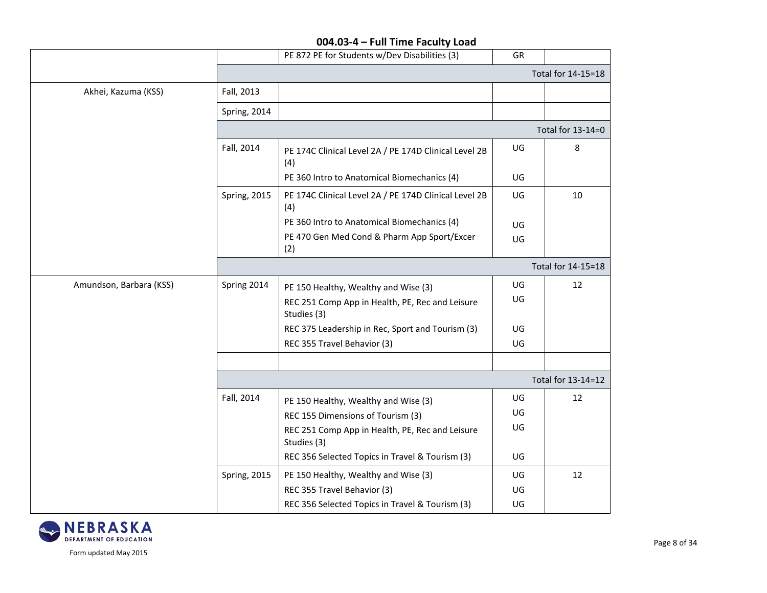|                         |                     | PE 872 PE for Students w/Dev Disabilities (3)                  | GR  |                    |
|-------------------------|---------------------|----------------------------------------------------------------|-----|--------------------|
|                         |                     |                                                                |     | Total for 14-15=18 |
| Akhei, Kazuma (KSS)     | Fall, 2013          |                                                                |     |                    |
|                         | Spring, 2014        |                                                                |     |                    |
|                         |                     |                                                                |     | Total for 13-14=0  |
|                         | Fall, 2014          | PE 174C Clinical Level 2A / PE 174D Clinical Level 2B<br>(4)   | UG  | 8                  |
|                         |                     | PE 360 Intro to Anatomical Biomechanics (4)                    | UG  |                    |
|                         | <b>Spring, 2015</b> | PE 174C Clinical Level 2A / PE 174D Clinical Level 2B<br>(4)   | UG  | 10                 |
|                         |                     | PE 360 Intro to Anatomical Biomechanics (4)                    | UG  |                    |
|                         |                     | PE 470 Gen Med Cond & Pharm App Sport/Excer<br>(2)             | UG  |                    |
|                         |                     |                                                                |     | Total for 14-15=18 |
| Amundson, Barbara (KSS) | Spring 2014         | PE 150 Healthy, Wealthy and Wise (3)                           | UG  | 12                 |
|                         |                     | REC 251 Comp App in Health, PE, Rec and Leisure<br>Studies (3) | UG  |                    |
|                         |                     | REC 375 Leadership in Rec, Sport and Tourism (3)               | UG  |                    |
|                         |                     | REC 355 Travel Behavior (3)                                    | UG  |                    |
|                         |                     |                                                                |     |                    |
|                         |                     |                                                                |     | Total for 13-14=12 |
|                         | Fall, 2014          | PE 150 Healthy, Wealthy and Wise (3)                           | UG. | 12                 |
|                         |                     | REC 155 Dimensions of Tourism (3)                              | UG  |                    |
|                         |                     | REC 251 Comp App in Health, PE, Rec and Leisure<br>Studies (3) | UG  |                    |
|                         |                     | REC 356 Selected Topics in Travel & Tourism (3)                | UG. |                    |
|                         | Spring, 2015        | PE 150 Healthy, Wealthy and Wise (3)                           | UG  | 12                 |
|                         |                     | REC 355 Travel Behavior (3)                                    | UG  |                    |
|                         |                     | REC 356 Selected Topics in Travel & Tourism (3)                | UG  |                    |

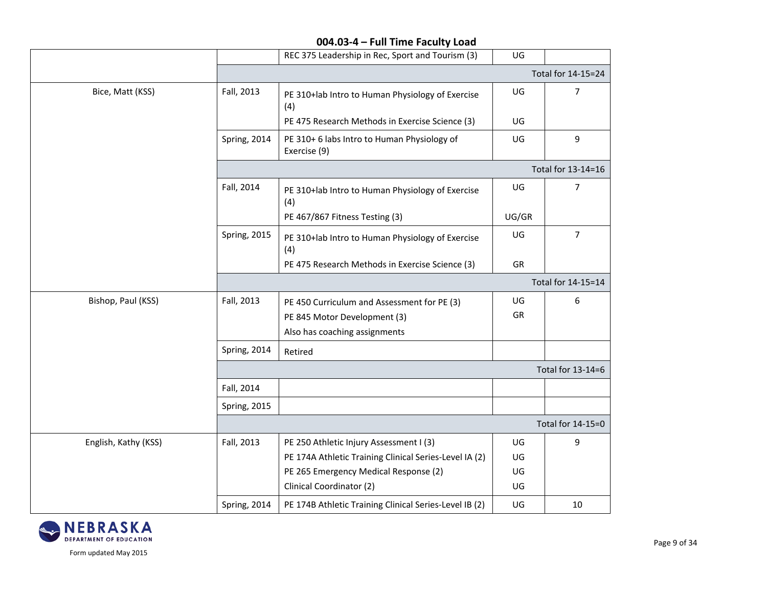|                      |              | REC 375 Leadership in Rec, Sport and Tourism (3)            | UG    |                    |  |
|----------------------|--------------|-------------------------------------------------------------|-------|--------------------|--|
|                      |              |                                                             |       | Total for 14-15=24 |  |
| Bice, Matt (KSS)     | Fall, 2013   | PE 310+lab Intro to Human Physiology of Exercise<br>(4)     | UG    | 7                  |  |
|                      |              | PE 475 Research Methods in Exercise Science (3)             | UG    |                    |  |
|                      | Spring, 2014 | PE 310+ 6 labs Intro to Human Physiology of<br>Exercise (9) | UG    | 9                  |  |
|                      |              |                                                             |       | Total for 13-14=16 |  |
|                      | Fall, 2014   | PE 310+lab Intro to Human Physiology of Exercise<br>(4)     | UG    | $\overline{7}$     |  |
|                      |              | PE 467/867 Fitness Testing (3)                              | UG/GR |                    |  |
|                      | Spring, 2015 | PE 310+lab Intro to Human Physiology of Exercise<br>(4)     | UG    | $\overline{7}$     |  |
|                      |              | PE 475 Research Methods in Exercise Science (3)             | GR    |                    |  |
|                      |              |                                                             |       | Total for 14-15=14 |  |
| Bishop, Paul (KSS)   | Fall, 2013   | PE 450 Curriculum and Assessment for PE (3)                 | UG    | 6                  |  |
|                      |              | PE 845 Motor Development (3)                                | GR    |                    |  |
|                      |              | Also has coaching assignments                               |       |                    |  |
|                      | Spring, 2014 | Retired                                                     |       |                    |  |
|                      |              | Total for 13-14=6                                           |       |                    |  |
|                      | Fall, 2014   |                                                             |       |                    |  |
|                      | Spring, 2015 |                                                             |       |                    |  |
|                      |              |                                                             |       | Total for 14-15=0  |  |
| English, Kathy (KSS) | Fall, 2013   | PE 250 Athletic Injury Assessment I (3)                     | UG    | 9                  |  |
|                      |              | PE 174A Athletic Training Clinical Series-Level IA (2)      | UG    |                    |  |
|                      |              | PE 265 Emergency Medical Response (2)                       | UG    |                    |  |
|                      |              | Clinical Coordinator (2)                                    | UG    |                    |  |
|                      | Spring, 2014 | PE 174B Athletic Training Clinical Series-Level IB (2)      | UG    | 10                 |  |

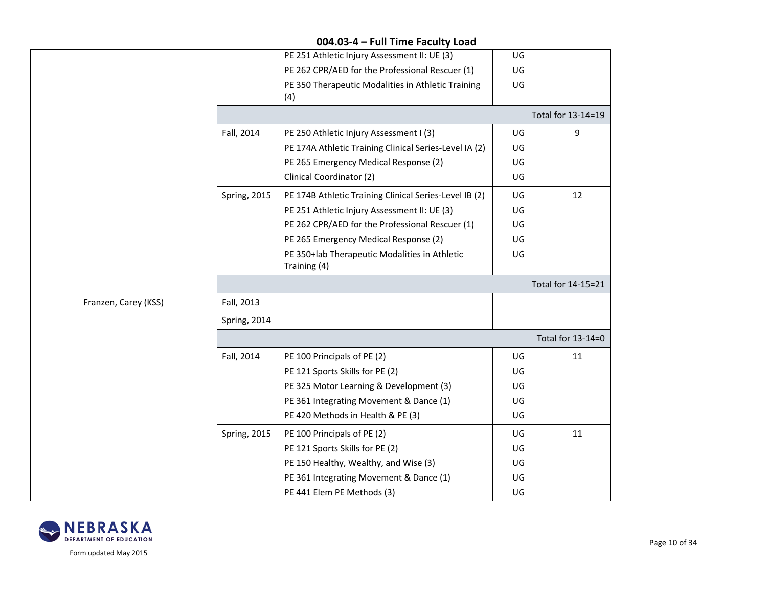|                      |                     | PE 251 Athletic Injury Assessment II: UE (3)                  | UG                |                    |  |
|----------------------|---------------------|---------------------------------------------------------------|-------------------|--------------------|--|
|                      |                     | PE 262 CPR/AED for the Professional Rescuer (1)               | UG                |                    |  |
|                      |                     | PE 350 Therapeutic Modalities in Athletic Training<br>(4)     | UG                |                    |  |
|                      |                     |                                                               |                   | Total for 13-14=19 |  |
|                      | Fall, 2014          | PE 250 Athletic Injury Assessment I (3)                       | UG                | 9                  |  |
|                      |                     | PE 174A Athletic Training Clinical Series-Level IA (2)        | UG                |                    |  |
|                      |                     | PE 265 Emergency Medical Response (2)                         | UG                |                    |  |
|                      |                     | Clinical Coordinator (2)                                      | UG                |                    |  |
|                      | <b>Spring, 2015</b> | PE 174B Athletic Training Clinical Series-Level IB (2)        | UG                | 12                 |  |
|                      |                     | PE 251 Athletic Injury Assessment II: UE (3)                  | UG                |                    |  |
|                      |                     | PE 262 CPR/AED for the Professional Rescuer (1)               | UG                |                    |  |
|                      |                     | PE 265 Emergency Medical Response (2)                         | UG                |                    |  |
|                      |                     | PE 350+lab Therapeutic Modalities in Athletic<br>Training (4) | UG                |                    |  |
|                      |                     |                                                               |                   | Total for 14-15=21 |  |
| Franzen, Carey (KSS) | Fall, 2013          |                                                               |                   |                    |  |
|                      | Spring, 2014        |                                                               |                   |                    |  |
|                      |                     |                                                               | Total for 13-14=0 |                    |  |
|                      | Fall, 2014          | PE 100 Principals of PE (2)                                   | UG                | 11                 |  |
|                      |                     | PE 121 Sports Skills for PE (2)                               | UG                |                    |  |
|                      |                     | PE 325 Motor Learning & Development (3)                       | UG                |                    |  |
|                      |                     | PE 361 Integrating Movement & Dance (1)                       | UG                |                    |  |
|                      |                     | PE 420 Methods in Health & PE (3)                             | UG                |                    |  |
|                      | <b>Spring, 2015</b> | PE 100 Principals of PE (2)                                   | UG                | 11                 |  |
|                      |                     | PE 121 Sports Skills for PE (2)                               | UG                |                    |  |
|                      |                     | PE 150 Healthy, Wealthy, and Wise (3)                         | UG                |                    |  |
|                      |                     | PE 361 Integrating Movement & Dance (1)                       | UG                |                    |  |
|                      |                     | PE 441 Elem PE Methods (3)                                    | UG                |                    |  |

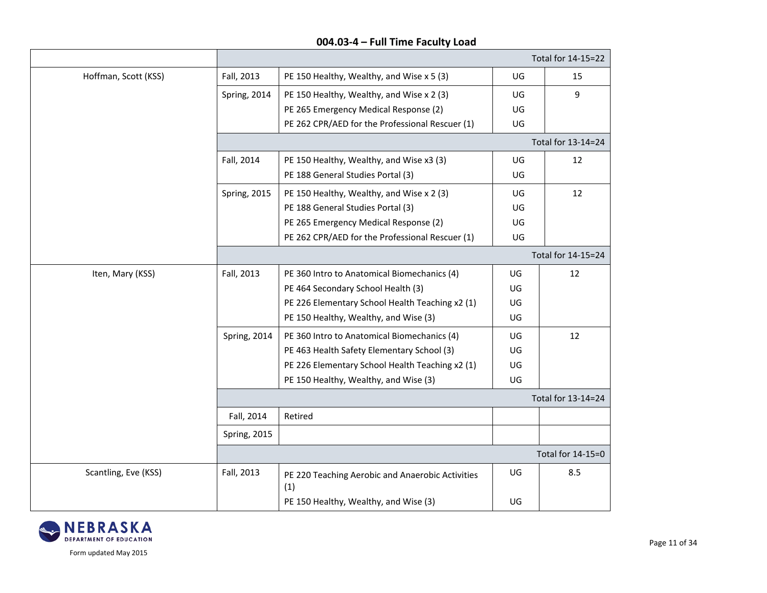|                      |                     |                                                         |    | Total for 14-15=22 |  |  |
|----------------------|---------------------|---------------------------------------------------------|----|--------------------|--|--|
| Hoffman, Scott (KSS) | Fall, 2013          | PE 150 Healthy, Wealthy, and Wise x 5 (3)               | UG | 15                 |  |  |
|                      | Spring, 2014        | PE 150 Healthy, Wealthy, and Wise x 2 (3)               | UG | 9                  |  |  |
|                      |                     | PE 265 Emergency Medical Response (2)                   | UG |                    |  |  |
|                      |                     | PE 262 CPR/AED for the Professional Rescuer (1)         | UG |                    |  |  |
|                      |                     | Total for 13-14=24                                      |    |                    |  |  |
|                      | Fall, 2014          | PE 150 Healthy, Wealthy, and Wise x3 (3)                | UG | 12                 |  |  |
|                      |                     | PE 188 General Studies Portal (3)                       | UG |                    |  |  |
|                      | Spring, 2015        | PE 150 Healthy, Wealthy, and Wise x 2 (3)               | UG | 12                 |  |  |
|                      |                     | PE 188 General Studies Portal (3)                       | UG |                    |  |  |
|                      |                     | PE 265 Emergency Medical Response (2)                   | UG |                    |  |  |
|                      |                     | PE 262 CPR/AED for the Professional Rescuer (1)         | UG |                    |  |  |
|                      |                     |                                                         |    | Total for 14-15=24 |  |  |
| Iten, Mary (KSS)     | Fall, 2013          | PE 360 Intro to Anatomical Biomechanics (4)             | UG | 12                 |  |  |
|                      |                     | PE 464 Secondary School Health (3)                      | UG |                    |  |  |
|                      |                     | PE 226 Elementary School Health Teaching x2 (1)         | UG |                    |  |  |
|                      |                     | PE 150 Healthy, Wealthy, and Wise (3)                   | UG |                    |  |  |
|                      | Spring, 2014        | PE 360 Intro to Anatomical Biomechanics (4)             | UG | 12                 |  |  |
|                      |                     | PE 463 Health Safety Elementary School (3)              | UG |                    |  |  |
|                      |                     | PE 226 Elementary School Health Teaching x2 (1)         | UG |                    |  |  |
|                      |                     | PE 150 Healthy, Wealthy, and Wise (3)                   | UG |                    |  |  |
|                      |                     |                                                         |    | Total for 13-14=24 |  |  |
|                      | Fall, 2014          | Retired                                                 |    |                    |  |  |
|                      | <b>Spring, 2015</b> |                                                         |    |                    |  |  |
|                      |                     |                                                         |    | Total for 14-15=0  |  |  |
| Scantling, Eve (KSS) | Fall, 2013          | PE 220 Teaching Aerobic and Anaerobic Activities<br>(1) | UG | 8.5                |  |  |
|                      |                     | PE 150 Healthy, Wealthy, and Wise (3)                   | UG |                    |  |  |

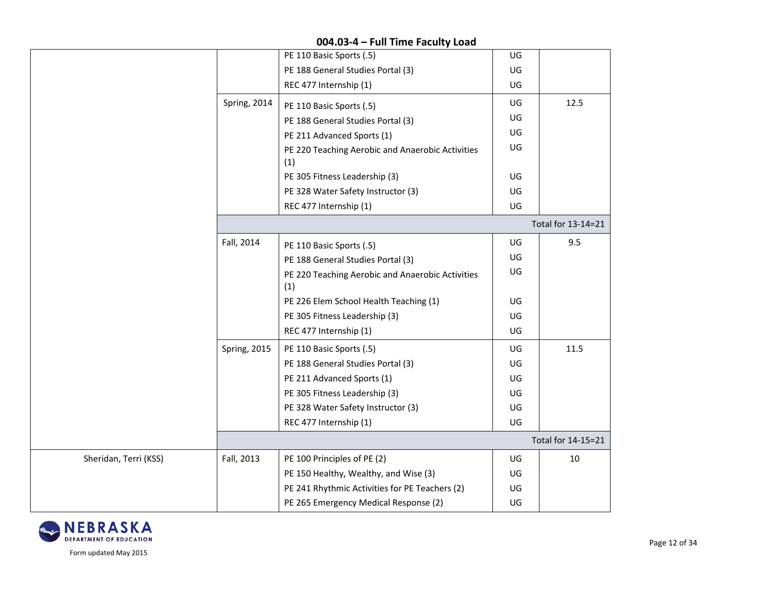|                       |                     | PE 110 Basic Sports (.5)                                | UG |                    |
|-----------------------|---------------------|---------------------------------------------------------|----|--------------------|
|                       |                     | PE 188 General Studies Portal (3)                       | UG |                    |
|                       |                     | REC 477 Internship (1)                                  | UG |                    |
|                       | Spring, 2014        | PE 110 Basic Sports (.5)                                | UG | 12.5               |
|                       |                     | PE 188 General Studies Portal (3)                       | UG |                    |
|                       |                     | PE 211 Advanced Sports (1)                              | UG |                    |
|                       |                     | PE 220 Teaching Aerobic and Anaerobic Activities<br>(1) | UG |                    |
|                       |                     | PE 305 Fitness Leadership (3)                           | UG |                    |
|                       |                     | PE 328 Water Safety Instructor (3)                      | UG |                    |
|                       |                     | REC 477 Internship (1)                                  | UG |                    |
|                       |                     |                                                         |    | Total for 13-14=21 |
|                       | Fall, 2014          | PE 110 Basic Sports (.5)                                | UG | 9.5                |
|                       |                     | PE 188 General Studies Portal (3)                       | UG |                    |
|                       |                     | PE 220 Teaching Aerobic and Anaerobic Activities<br>(1) | UG |                    |
|                       |                     | PE 226 Elem School Health Teaching (1)                  | UG |                    |
|                       |                     | PE 305 Fitness Leadership (3)                           | UG |                    |
|                       |                     | REC 477 Internship (1)                                  | UG |                    |
|                       | <b>Spring, 2015</b> | PE 110 Basic Sports (.5)                                | UG | 11.5               |
|                       |                     | PE 188 General Studies Portal (3)                       | UG |                    |
|                       |                     | PE 211 Advanced Sports (1)                              | UG |                    |
|                       |                     | PE 305 Fitness Leadership (3)                           | UG |                    |
|                       |                     | PE 328 Water Safety Instructor (3)                      | UG |                    |
|                       |                     | REC 477 Internship (1)                                  | UG |                    |
|                       |                     |                                                         |    | Total for 14-15=21 |
| Sheridan, Terri (KSS) | Fall, 2013          | PE 100 Principles of PE (2)                             | UG | 10                 |
|                       |                     | PE 150 Healthy, Wealthy, and Wise (3)                   | UG |                    |
|                       |                     | PE 241 Rhythmic Activities for PE Teachers (2)          | UG |                    |
|                       |                     | PE 265 Emergency Medical Response (2)                   | UG |                    |

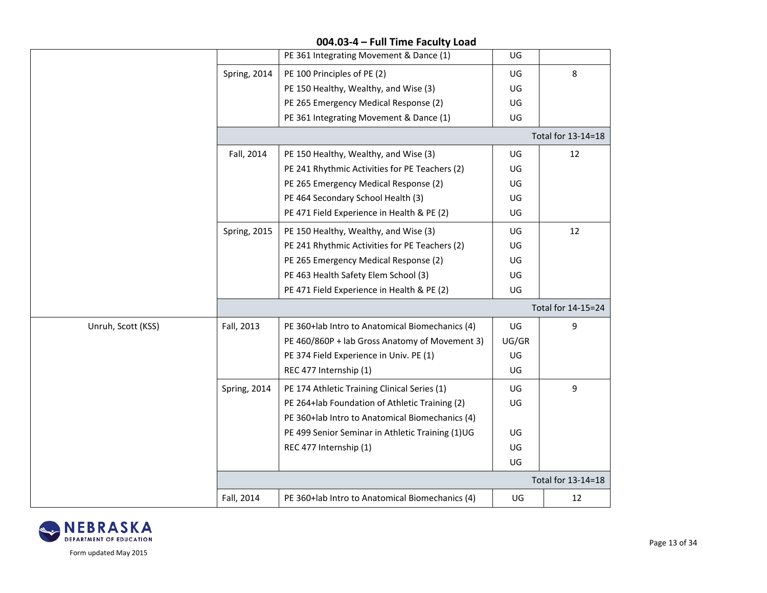#### PE 361 Integrating Movement & Dance (1) UG Spring, 2014 | PE 100 Principles of PE  $(2)$ PE 150 Healthy, Wealthy, and Wise (3) PE 265 Emergency Medical Response (2) PE 361 Integrating Movement & Dance (1) UG UG UG UG 8 Total for 13-14=18 Fall, 2014  $\vert$  PE 150 Healthy, Wealthy, and Wise (3) PE 241 Rhythmic Activities for PE Teachers (2) PE 265 Emergency Medical Response (2) PE 464 Secondary School Health (3) PE 471 Field Experience in Health & PE (2) UG UG UG UG UG 12 Spring, 2015 | PE 150 Healthy, Wealthy, and Wise  $(3)$ PE 241 Rhythmic Activities for PE Teachers (2) PE 265 Emergency Medical Response (2) PE 463 Health Safety Elem School (3) PE 471 Field Experience in Health & PE (2) UG UG UG UG UG 12 Total for 14-15=24 Unruh, Scott (KSS) Fall, 2013 PE 360+lab Intro to Anatomical Biomechanics (4) PE 460/860P + lab Gross Anatomy of Movement 3) PE 374 Field Experience in Univ. PE (1) REC 477 Internship (1) UG UG/GR UG UG 9 Spring, 2014 | PE 174 Athletic Training Clinical Series (1) PE 264+lab Foundation of Athletic Training (2) PE 360+lab Intro to Anatomical Biomechanics (4) PE 499 Senior Seminar in Athletic Training (1)UG REC 477 Internship (1) UG UG UG UG UG 9 Total for 13-14=18 Fall, 2014 | PE 360+lab Intro to Anatomical Biomechanics (4) | UG | 12



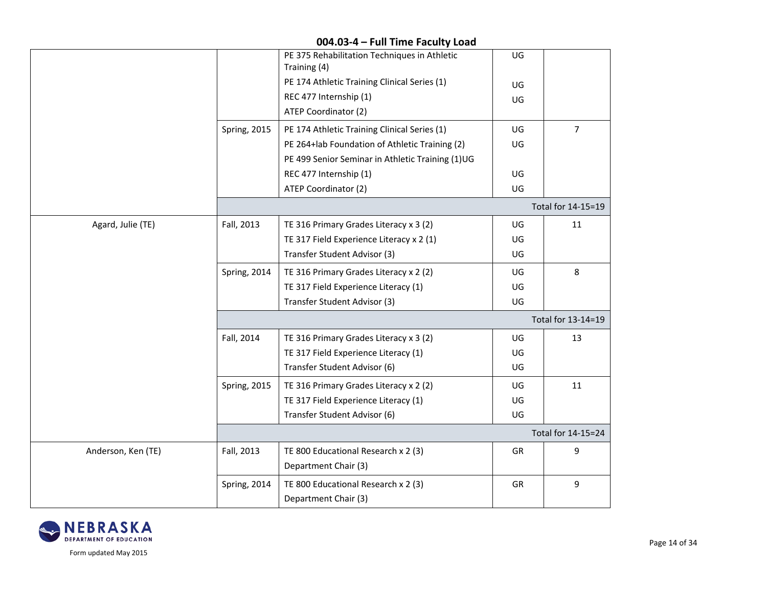|                    |              | PE 375 Rehabilitation Techniques in Athletic<br>Training (4) | UG |                    |
|--------------------|--------------|--------------------------------------------------------------|----|--------------------|
|                    |              | PE 174 Athletic Training Clinical Series (1)                 | UG |                    |
|                    |              | REC 477 Internship (1)                                       | UG |                    |
|                    |              | ATEP Coordinator (2)                                         |    |                    |
|                    | Spring, 2015 | PE 174 Athletic Training Clinical Series (1)                 | UG | 7                  |
|                    |              | PE 264+lab Foundation of Athletic Training (2)               | UG |                    |
|                    |              | PE 499 Senior Seminar in Athletic Training (1)UG             |    |                    |
|                    |              | REC 477 Internship (1)                                       | UG |                    |
|                    |              | ATEP Coordinator (2)                                         | UG |                    |
|                    |              |                                                              |    | Total for 14-15=19 |
| Agard, Julie (TE)  | Fall, 2013   | TE 316 Primary Grades Literacy x 3 (2)                       | UG | 11                 |
|                    |              | TE 317 Field Experience Literacy x 2 (1)                     | UG |                    |
|                    |              | Transfer Student Advisor (3)                                 | UG |                    |
|                    | Spring, 2014 | TE 316 Primary Grades Literacy x 2 (2)                       | UG | 8                  |
|                    |              | TE 317 Field Experience Literacy (1)                         | UG |                    |
|                    |              | Transfer Student Advisor (3)                                 | UG |                    |
|                    |              |                                                              |    | Total for 13-14=19 |
|                    | Fall, 2014   | TE 316 Primary Grades Literacy x 3 (2)                       | UG | 13                 |
|                    |              | TE 317 Field Experience Literacy (1)                         | UG |                    |
|                    |              | Transfer Student Advisor (6)                                 | UG |                    |
|                    | Spring, 2015 | TE 316 Primary Grades Literacy x 2 (2)                       | UG | 11                 |
|                    |              | TE 317 Field Experience Literacy (1)                         | UG |                    |
|                    |              | Transfer Student Advisor (6)                                 | UG |                    |
|                    |              |                                                              |    | Total for 14-15=24 |
| Anderson, Ken (TE) | Fall, 2013   | TE 800 Educational Research x 2 (3)                          | GR | 9                  |
|                    |              | Department Chair (3)                                         |    |                    |
|                    | Spring, 2014 | TE 800 Educational Research x 2 (3)                          | GR | 9                  |
|                    |              | Department Chair (3)                                         |    |                    |

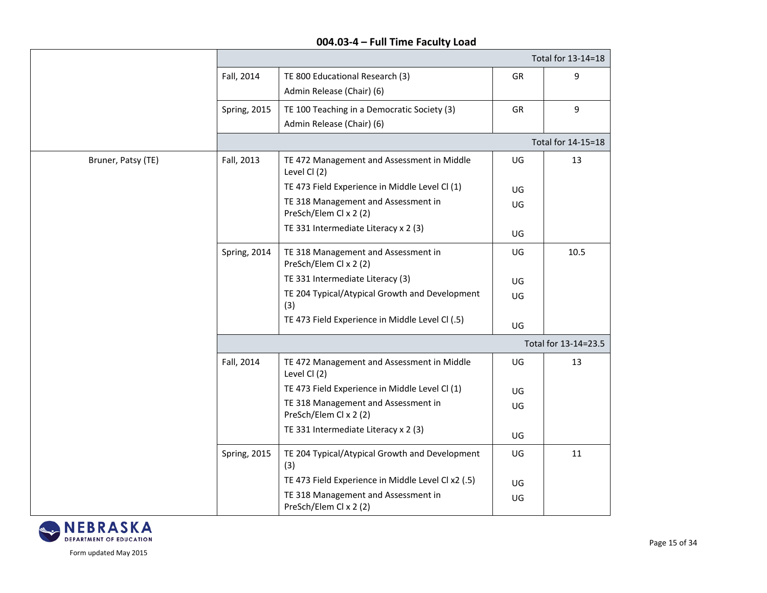|                    | Total for 13-14=18   |                                                                          |    |                    |  |
|--------------------|----------------------|--------------------------------------------------------------------------|----|--------------------|--|
|                    | Fall, 2014           | TE 800 Educational Research (3)<br>Admin Release (Chair) (6)             | GR | 9                  |  |
|                    | Spring, 2015         | TE 100 Teaching in a Democratic Society (3)<br>Admin Release (Chair) (6) | GR | 9                  |  |
|                    |                      |                                                                          |    | Total for 14-15=18 |  |
| Bruner, Patsy (TE) | Fall, 2013           | TE 472 Management and Assessment in Middle<br>Level Cl (2)               | UG | 13                 |  |
|                    |                      | TE 473 Field Experience in Middle Level Cl (1)                           | UG |                    |  |
|                    |                      | TE 318 Management and Assessment in<br>PreSch/Elem Cl x 2 (2)            | UG |                    |  |
|                    |                      | TE 331 Intermediate Literacy x 2 (3)                                     | UG |                    |  |
|                    | Spring, 2014         | TE 318 Management and Assessment in<br>PreSch/Elem Cl x 2 (2)            | UG | 10.5               |  |
|                    |                      | TE 331 Intermediate Literacy (3)                                         | UG |                    |  |
|                    |                      | TE 204 Typical/Atypical Growth and Development<br>(3)                    | UG |                    |  |
|                    |                      | TE 473 Field Experience in Middle Level Cl (.5)                          | UG |                    |  |
|                    | Total for 13-14=23.5 |                                                                          |    |                    |  |
|                    | Fall, 2014           | TE 472 Management and Assessment in Middle<br>Level Cl (2)               | UG | 13                 |  |
|                    |                      | TE 473 Field Experience in Middle Level Cl (1)                           | UG |                    |  |
|                    |                      | TE 318 Management and Assessment in<br>PreSch/Elem Cl x 2 (2)            | UG |                    |  |
|                    |                      | TE 331 Intermediate Literacy x 2 (3)                                     | UG |                    |  |
|                    | Spring, 2015         | TE 204 Typical/Atypical Growth and Development<br>(3)                    | UG | 11                 |  |
|                    |                      | TE 473 Field Experience in Middle Level Cl x2 (.5)                       | UG |                    |  |
|                    |                      | TE 318 Management and Assessment in<br>PreSch/Elem Cl x 2 (2)            | UG |                    |  |

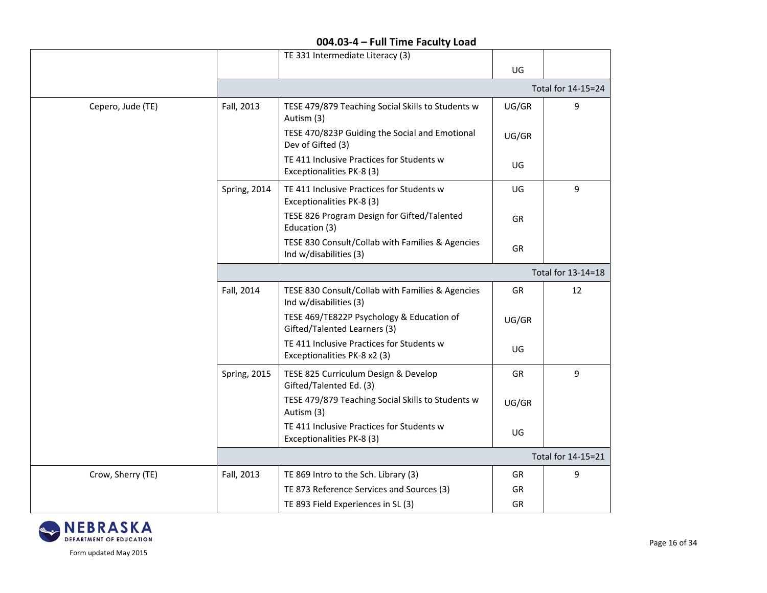|                   |                    | TE 331 Intermediate Literacy (3)                                           |       |                    |  |
|-------------------|--------------------|----------------------------------------------------------------------------|-------|--------------------|--|
|                   |                    |                                                                            | UG    |                    |  |
|                   |                    |                                                                            |       | Total for 14-15=24 |  |
| Cepero, Jude (TE) | Fall, 2013         | TESE 479/879 Teaching Social Skills to Students w<br>Autism (3)            | UG/GR | 9                  |  |
|                   |                    | TESE 470/823P Guiding the Social and Emotional<br>Dev of Gifted (3)        | UG/GR |                    |  |
|                   |                    | TE 411 Inclusive Practices for Students w<br>Exceptionalities PK-8 (3)     | UG    |                    |  |
|                   | Spring, 2014       | TE 411 Inclusive Practices for Students w<br>Exceptionalities PK-8 (3)     | UG    | 9                  |  |
|                   |                    | TESE 826 Program Design for Gifted/Talented<br>Education (3)               | GR    |                    |  |
|                   |                    | TESE 830 Consult/Collab with Families & Agencies<br>Ind w/disabilities (3) | GR    |                    |  |
|                   | Total for 13-14=18 |                                                                            |       |                    |  |
|                   | Fall, 2014         | TESE 830 Consult/Collab with Families & Agencies<br>Ind w/disabilities (3) | GR    | 12                 |  |
|                   |                    | TESE 469/TE822P Psychology & Education of<br>Gifted/Talented Learners (3)  | UG/GR |                    |  |
|                   |                    | TE 411 Inclusive Practices for Students w<br>Exceptionalities PK-8 x2 (3)  | UG    |                    |  |
|                   | Spring, 2015       | TESE 825 Curriculum Design & Develop<br>Gifted/Talented Ed. (3)            | GR    | 9                  |  |
|                   |                    | TESE 479/879 Teaching Social Skills to Students w<br>Autism (3)            | UG/GR |                    |  |
|                   |                    | TE 411 Inclusive Practices for Students w<br>Exceptionalities PK-8 (3)     | UG    |                    |  |
|                   |                    |                                                                            |       | Total for 14-15=21 |  |
| Crow, Sherry (TE) | Fall, 2013         | TE 869 Intro to the Sch. Library (3)                                       | GR    | 9                  |  |
|                   |                    | TE 873 Reference Services and Sources (3)                                  | GR    |                    |  |
|                   |                    | TE 893 Field Experiences in SL (3)                                         | GR    |                    |  |

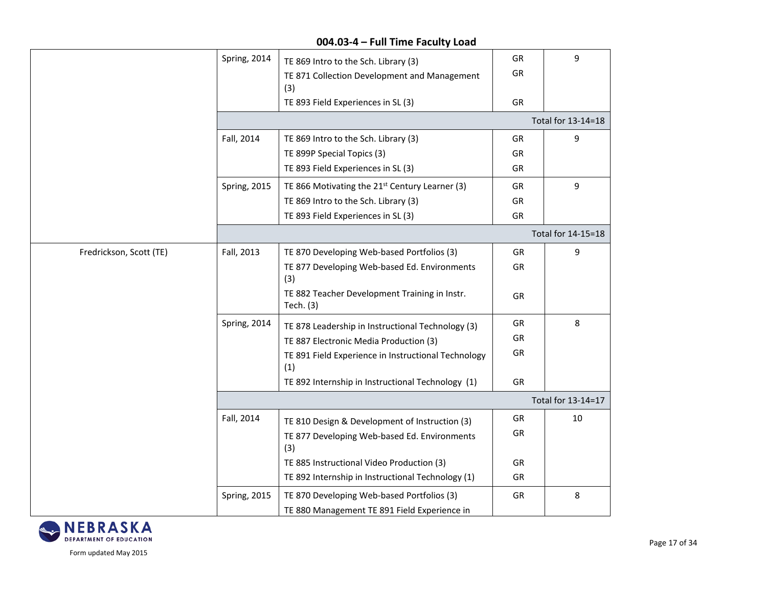|                         | Spring, 2014 | TE 869 Intro to the Sch. Library (3)                       | GR        | 9                  |
|-------------------------|--------------|------------------------------------------------------------|-----------|--------------------|
|                         |              | TE 871 Collection Development and Management               | GR        |                    |
|                         |              | (3)<br>TE 893 Field Experiences in SL (3)                  | GR        |                    |
|                         |              |                                                            |           |                    |
|                         |              |                                                            |           | Total for 13-14=18 |
|                         | Fall, 2014   | TE 869 Intro to the Sch. Library (3)                       | GR        | 9                  |
|                         |              | TE 899P Special Topics (3)                                 | GR        |                    |
|                         |              | TE 893 Field Experiences in SL (3)                         | GR        |                    |
|                         | Spring, 2015 | TE 866 Motivating the 21 <sup>st</sup> Century Learner (3) | GR        | $\boldsymbol{9}$   |
|                         |              | TE 869 Intro to the Sch. Library (3)                       | GR        |                    |
|                         |              | TE 893 Field Experiences in SL (3)                         | GR        |                    |
|                         |              |                                                            |           | Total for 14-15=18 |
| Fredrickson, Scott (TE) | Fall, 2013   | TE 870 Developing Web-based Portfolios (3)                 | GR        | 9                  |
|                         |              | TE 877 Developing Web-based Ed. Environments<br>(3)        | GR        |                    |
|                         |              | TE 882 Teacher Development Training in Instr.<br>Tech. (3) | <b>GR</b> |                    |
|                         | Spring, 2014 | TE 878 Leadership in Instructional Technology (3)          | GR        | 8                  |
|                         |              | TE 887 Electronic Media Production (3)                     | GR        |                    |
|                         |              | TE 891 Field Experience in Instructional Technology<br>(1) | <b>GR</b> |                    |
|                         |              | TE 892 Internship in Instructional Technology (1)          | GR        |                    |
|                         |              |                                                            |           | Total for 13-14=17 |
|                         | Fall, 2014   | TE 810 Design & Development of Instruction (3)             | GR        | $10\,$             |
|                         |              | TE 877 Developing Web-based Ed. Environments<br>(3)        | GR        |                    |
|                         |              | TE 885 Instructional Video Production (3)                  | GR        |                    |
|                         |              | TE 892 Internship in Instructional Technology (1)          | GR        |                    |
|                         | Spring, 2015 | TE 870 Developing Web-based Portfolios (3)                 | GR        | 8                  |
|                         |              | TE 880 Management TE 891 Field Experience in               |           |                    |



Form updated May 2015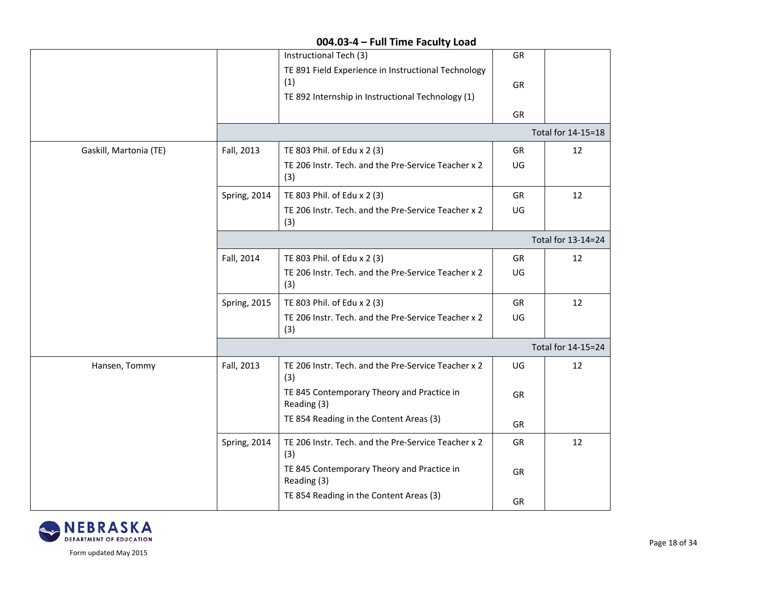|                        |                    | Instructional Tech (3)                                                                                          | GR |                    |  |
|------------------------|--------------------|-----------------------------------------------------------------------------------------------------------------|----|--------------------|--|
|                        |                    | TE 891 Field Experience in Instructional Technology<br>(1)<br>TE 892 Internship in Instructional Technology (1) | GR |                    |  |
|                        |                    |                                                                                                                 | GR |                    |  |
|                        |                    |                                                                                                                 |    | Total for 14-15=18 |  |
| Gaskill, Martonia (TE) | Fall, 2013         | TE 803 Phil. of Edu x 2 (3)                                                                                     | GR | 12                 |  |
|                        |                    | TE 206 Instr. Tech. and the Pre-Service Teacher x 2<br>(3)                                                      | UG |                    |  |
|                        | Spring, 2014       | TE 803 Phil. of Edu x 2 (3)                                                                                     | GR | 12                 |  |
|                        |                    | TE 206 Instr. Tech. and the Pre-Service Teacher x 2<br>(3)                                                      | UG |                    |  |
|                        | Total for 13-14=24 |                                                                                                                 |    |                    |  |
|                        | Fall, 2014         | TE 803 Phil. of Edu x 2 (3)                                                                                     | GR | 12                 |  |
|                        |                    | TE 206 Instr. Tech. and the Pre-Service Teacher x 2<br>(3)                                                      | UG |                    |  |
|                        | Spring, 2015       | TE 803 Phil. of Edu x 2 (3)                                                                                     | GR | 12                 |  |
|                        |                    | TE 206 Instr. Tech. and the Pre-Service Teacher x 2<br>(3)                                                      | UG |                    |  |
|                        |                    |                                                                                                                 |    | Total for 14-15=24 |  |
| Hansen, Tommy          | Fall, 2013         | TE 206 Instr. Tech. and the Pre-Service Teacher x 2<br>(3)                                                      | UG | 12                 |  |
|                        |                    | TE 845 Contemporary Theory and Practice in<br>Reading (3)                                                       | GR |                    |  |
|                        |                    | TE 854 Reading in the Content Areas (3)                                                                         | GR |                    |  |
|                        | Spring, 2014       | TE 206 Instr. Tech. and the Pre-Service Teacher x 2<br>(3)                                                      | GR | 12                 |  |
|                        |                    | TE 845 Contemporary Theory and Practice in<br>Reading (3)                                                       | GR |                    |  |
|                        |                    | TE 854 Reading in the Content Areas (3)                                                                         | GR |                    |  |

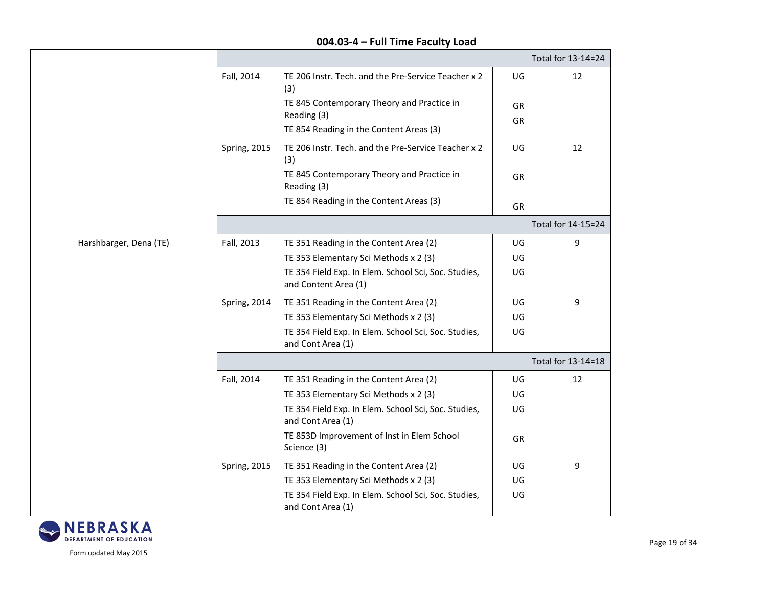|                        |                     |                                                                              |           | Total for 13-14=24 |
|------------------------|---------------------|------------------------------------------------------------------------------|-----------|--------------------|
|                        | Fall, 2014          | TE 206 Instr. Tech. and the Pre-Service Teacher x 2<br>(3)                   | UG        | 12                 |
|                        |                     | TE 845 Contemporary Theory and Practice in                                   | GR        |                    |
|                        |                     | Reading (3)                                                                  | GR        |                    |
|                        |                     | TE 854 Reading in the Content Areas (3)                                      |           |                    |
|                        | <b>Spring, 2015</b> | TE 206 Instr. Tech. and the Pre-Service Teacher x 2<br>(3)                   | UG        | 12                 |
|                        |                     | TE 845 Contemporary Theory and Practice in<br>Reading (3)                    | <b>GR</b> |                    |
|                        |                     | TE 854 Reading in the Content Areas (3)                                      | GR        |                    |
|                        |                     |                                                                              |           | Total for 14-15=24 |
| Harshbarger, Dena (TE) | Fall, 2013          | TE 351 Reading in the Content Area (2)                                       | UG        | 9                  |
|                        |                     | TE 353 Elementary Sci Methods x 2 (3)                                        | UG        |                    |
|                        |                     | TE 354 Field Exp. In Elem. School Sci, Soc. Studies,<br>and Content Area (1) | UG        |                    |
|                        | Spring, 2014        | TE 351 Reading in the Content Area (2)                                       | UG        | 9                  |
|                        |                     | TE 353 Elementary Sci Methods x 2 (3)                                        | UG        |                    |
|                        |                     | TE 354 Field Exp. In Elem. School Sci, Soc. Studies,<br>and Cont Area (1)    | UG        |                    |
|                        |                     |                                                                              |           | Total for 13-14=18 |
|                        | Fall, 2014          | TE 351 Reading in the Content Area (2)                                       | UG        | 12                 |
|                        |                     | TE 353 Elementary Sci Methods x 2 (3)                                        | UG        |                    |
|                        |                     | TE 354 Field Exp. In Elem. School Sci, Soc. Studies,<br>and Cont Area (1)    | UG        |                    |
|                        |                     | TE 853D Improvement of Inst in Elem School<br>Science (3)                    | GR        |                    |
|                        | <b>Spring, 2015</b> | TE 351 Reading in the Content Area (2)                                       | UG        | 9                  |
|                        |                     | TE 353 Elementary Sci Methods x 2 (3)                                        | UG        |                    |
|                        |                     | TE 354 Field Exp. In Elem. School Sci, Soc. Studies,<br>and Cont Area (1)    | UG        |                    |

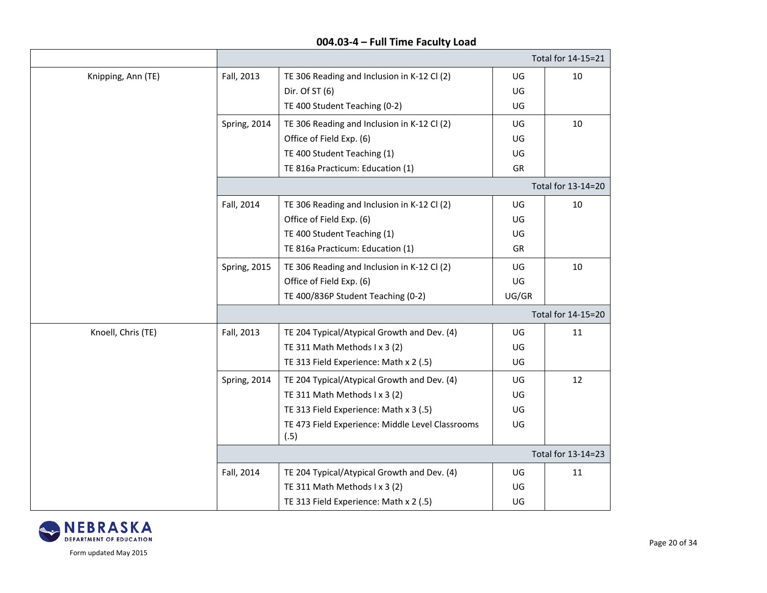|                    |              |                                                  |       | Total for 14-15=21 |
|--------------------|--------------|--------------------------------------------------|-------|--------------------|
| Knipping, Ann (TE) | Fall, 2013   | TE 306 Reading and Inclusion in K-12 Cl (2)      | UG    | 10                 |
|                    |              | Dir. Of ST (6)                                   | UG    |                    |
|                    |              | TE 400 Student Teaching (0-2)                    | UG    |                    |
|                    | Spring, 2014 | TE 306 Reading and Inclusion in K-12 Cl (2)      | UG    | 10                 |
|                    |              | Office of Field Exp. (6)                         | UG    |                    |
|                    |              | TE 400 Student Teaching (1)                      | UG    |                    |
|                    |              | TE 816a Practicum: Education (1)                 | GR    |                    |
|                    |              |                                                  |       | Total for 13-14=20 |
|                    | Fall, 2014   | TE 306 Reading and Inclusion in K-12 Cl (2)      | UG    | 10                 |
|                    |              | Office of Field Exp. (6)                         | UG    |                    |
|                    |              | TE 400 Student Teaching (1)                      | UG    |                    |
|                    |              | TE 816a Practicum: Education (1)                 | GR    |                    |
|                    | Spring, 2015 | TE 306 Reading and Inclusion in K-12 Cl (2)      | UG    | 10                 |
|                    |              | Office of Field Exp. (6)                         | UG    |                    |
|                    |              | TE 400/836P Student Teaching (0-2)               | UG/GR |                    |
|                    |              |                                                  |       | Total for 14-15=20 |
| Knoell, Chris (TE) | Fall, 2013   | TE 204 Typical/Atypical Growth and Dev. (4)      | UG    | 11                 |
|                    |              | TE 311 Math Methods I x 3 (2)                    | UG    |                    |
|                    |              | TE 313 Field Experience: Math x 2 (.5)           | UG    |                    |
|                    | Spring, 2014 | TE 204 Typical/Atypical Growth and Dev. (4)      | UG    | 12                 |
|                    |              | TE 311 Math Methods I x 3 (2)                    | UG    |                    |
|                    |              | TE 313 Field Experience: Math x 3 (.5)           | UG    |                    |
|                    |              | TE 473 Field Experience: Middle Level Classrooms | UG    |                    |
|                    |              | (.5)                                             |       |                    |
|                    |              |                                                  |       | Total for 13-14=23 |
|                    | Fall, 2014   | TE 204 Typical/Atypical Growth and Dev. (4)      | UG    | 11                 |
|                    |              | TE 311 Math Methods I x 3 (2)                    | UG    |                    |
|                    |              | TE 313 Field Experience: Math x 2 (.5)           | UG    |                    |

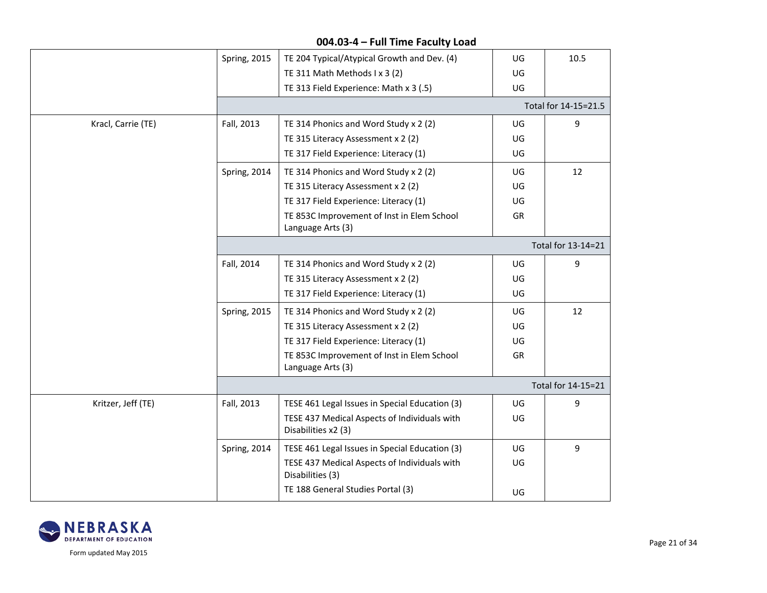|                    |                     | 004.03-4 - Full Time Faculty Load                                   |     |                      |
|--------------------|---------------------|---------------------------------------------------------------------|-----|----------------------|
|                    | <b>Spring, 2015</b> | TE 204 Typical/Atypical Growth and Dev. (4)                         | UG  | 10.5                 |
|                    |                     | TE 311 Math Methods I x 3 (2)                                       | UG  |                      |
|                    |                     | TE 313 Field Experience: Math x 3 (.5)                              | UG  |                      |
|                    |                     |                                                                     |     | Total for 14-15=21.5 |
| Kracl, Carrie (TE) | Fall, 2013          | TE 314 Phonics and Word Study x 2 (2)                               | UG  | 9                    |
|                    |                     | TE 315 Literacy Assessment x 2 (2)                                  | UG  |                      |
|                    |                     | TE 317 Field Experience: Literacy (1)                               | UG  |                      |
|                    | Spring, 2014        | TE 314 Phonics and Word Study x 2 (2)                               | UG. | 12                   |
|                    |                     | TE 315 Literacy Assessment x 2 (2)                                  | UG  |                      |
|                    |                     | TE 317 Field Experience: Literacy (1)                               | UG  |                      |
|                    |                     | TE 853C Improvement of Inst in Elem School<br>Language Arts (3)     | GR  |                      |
|                    |                     |                                                                     |     | Total for 13-14=21   |
|                    | Fall, 2014          | TE 314 Phonics and Word Study x 2 (2)                               | UG  | 9                    |
|                    |                     | TE 315 Literacy Assessment x 2 (2)                                  | UG  |                      |
|                    |                     | TE 317 Field Experience: Literacy (1)                               | UG  |                      |
|                    | <b>Spring, 2015</b> | TE 314 Phonics and Word Study x 2 (2)                               | UG  | 12                   |
|                    |                     | TE 315 Literacy Assessment x 2 (2)                                  | UG  |                      |
|                    |                     | TE 317 Field Experience: Literacy (1)                               | UG  |                      |
|                    |                     | TE 853C Improvement of Inst in Elem School<br>Language Arts (3)     | GR  |                      |
|                    |                     |                                                                     |     | Total for 14-15=21   |
| Kritzer, Jeff (TE) | Fall, 2013          | TESE 461 Legal Issues in Special Education (3)                      | UG  | 9                    |
|                    |                     | TESE 437 Medical Aspects of Individuals with<br>Disabilities x2 (3) | UG  |                      |
|                    | Spring, 2014        | TESE 461 Legal Issues in Special Education (3)                      | UG  | 9                    |
|                    |                     | TESE 437 Medical Aspects of Individuals with<br>Disabilities (3)    | UG  |                      |
|                    |                     | TE 188 General Studies Portal (3)                                   | UG  |                      |

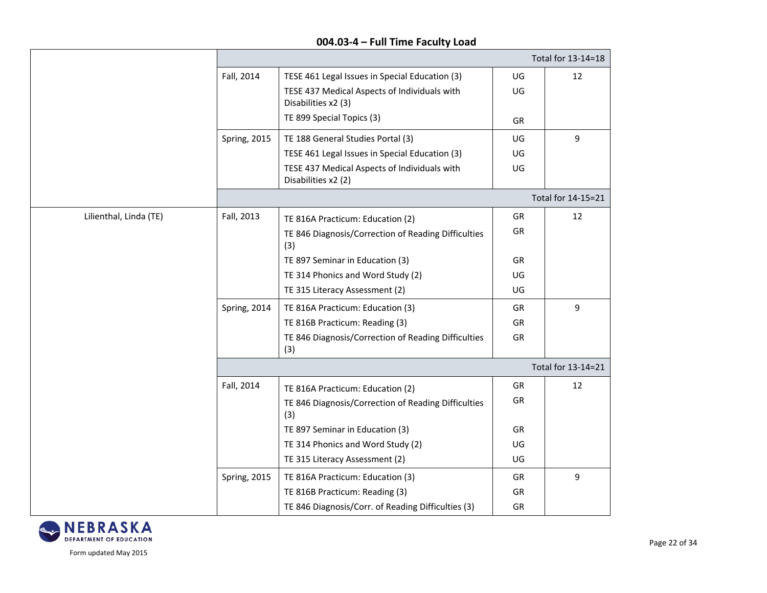|                        |                     | Total for 13-14=18                                                  |           |                    |  |  |
|------------------------|---------------------|---------------------------------------------------------------------|-----------|--------------------|--|--|
|                        | Fall, 2014          | TESE 461 Legal Issues in Special Education (3)                      | UG        | 12                 |  |  |
|                        |                     | TESE 437 Medical Aspects of Individuals with<br>Disabilities x2 (3) | UG        |                    |  |  |
|                        |                     | TE 899 Special Topics (3)                                           | GR        |                    |  |  |
|                        | <b>Spring, 2015</b> | TE 188 General Studies Portal (3)                                   | UG        | 9                  |  |  |
|                        |                     | TESE 461 Legal Issues in Special Education (3)                      | UG        |                    |  |  |
|                        |                     | TESE 437 Medical Aspects of Individuals with<br>Disabilities x2 (2) | UG        |                    |  |  |
|                        |                     |                                                                     |           | Total for 14-15=21 |  |  |
| Lilienthal, Linda (TE) | Fall, 2013          | TE 816A Practicum: Education (2)                                    | GR        | 12                 |  |  |
|                        |                     | TE 846 Diagnosis/Correction of Reading Difficulties<br>(3)          | GR        |                    |  |  |
|                        |                     | TE 897 Seminar in Education (3)                                     | <b>GR</b> |                    |  |  |
|                        |                     | TE 314 Phonics and Word Study (2)                                   | UG        |                    |  |  |
|                        |                     | TE 315 Literacy Assessment (2)                                      | UG        |                    |  |  |
|                        | Spring, 2014        | TE 816A Practicum: Education (3)                                    | GR        | 9                  |  |  |
|                        |                     | TE 816B Practicum: Reading (3)                                      | GR        |                    |  |  |
|                        |                     | TE 846 Diagnosis/Correction of Reading Difficulties<br>(3)          | GR        |                    |  |  |
|                        |                     |                                                                     |           | Total for 13-14=21 |  |  |
|                        | Fall, 2014          | TE 816A Practicum: Education (2)                                    | GR        | 12                 |  |  |
|                        |                     | TE 846 Diagnosis/Correction of Reading Difficulties<br>(3)          | GR        |                    |  |  |
|                        |                     | TE 897 Seminar in Education (3)                                     | GR        |                    |  |  |
|                        |                     | TE 314 Phonics and Word Study (2)                                   | UG        |                    |  |  |
|                        |                     | TE 315 Literacy Assessment (2)                                      | UG        |                    |  |  |
|                        | Spring, 2015        | TE 816A Practicum: Education (3)                                    | GR        | 9                  |  |  |
|                        |                     | TE 816B Practicum: Reading (3)                                      | GR        |                    |  |  |
|                        |                     | TE 846 Diagnosis/Corr. of Reading Difficulties (3)                  | GR        |                    |  |  |

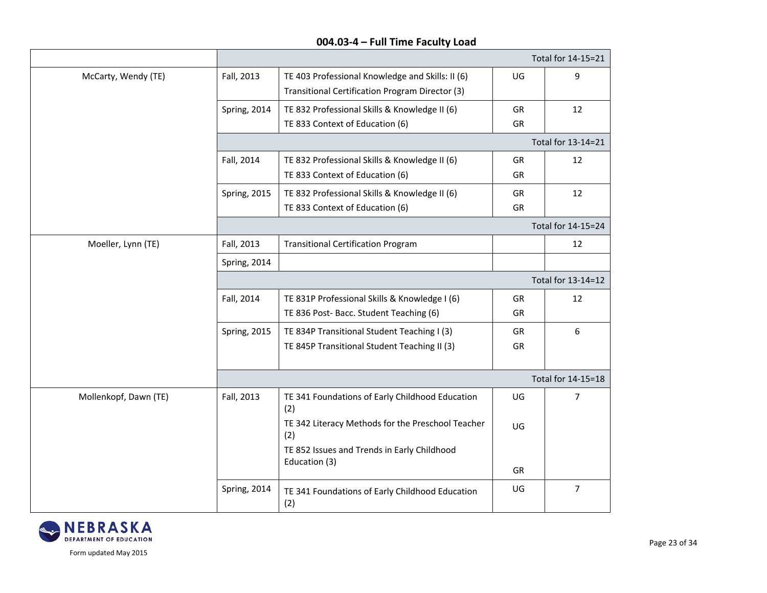|                       |                     |                                                          |           | Total for 14-15=21 |  |
|-----------------------|---------------------|----------------------------------------------------------|-----------|--------------------|--|
| McCarty, Wendy (TE)   | Fall, 2013          | TE 403 Professional Knowledge and Skills: II (6)         | UG        | 9                  |  |
|                       |                     | Transitional Certification Program Director (3)          |           |                    |  |
|                       | Spring, 2014        | TE 832 Professional Skills & Knowledge II (6)            | GR        | 12                 |  |
|                       |                     | TE 833 Context of Education (6)                          | GR        |                    |  |
|                       |                     |                                                          |           | Total for 13-14=21 |  |
|                       | Fall, 2014          | TE 832 Professional Skills & Knowledge II (6)            | <b>GR</b> | 12                 |  |
|                       |                     | TE 833 Context of Education (6)                          | GR        |                    |  |
|                       | Spring, 2015        | TE 832 Professional Skills & Knowledge II (6)            | GR        | 12                 |  |
|                       |                     | TE 833 Context of Education (6)                          | GR        |                    |  |
|                       |                     |                                                          |           | Total for 14-15=24 |  |
| Moeller, Lynn (TE)    | Fall, 2013          | <b>Transitional Certification Program</b>                |           | 12                 |  |
|                       | <b>Spring, 2014</b> |                                                          |           |                    |  |
|                       | Total for 13-14=12  |                                                          |           |                    |  |
|                       | Fall, 2014          | TE 831P Professional Skills & Knowledge I (6)            | GR        | 12                 |  |
|                       |                     | TE 836 Post- Bacc. Student Teaching (6)                  | GR        |                    |  |
|                       | Spring, 2015        | TE 834P Transitional Student Teaching I (3)              | GR        | 6                  |  |
|                       |                     | TE 845P Transitional Student Teaching II (3)             | GR        |                    |  |
|                       |                     |                                                          |           |                    |  |
|                       |                     |                                                          |           | Total for 14-15=18 |  |
| Mollenkopf, Dawn (TE) | Fall, 2013          | TE 341 Foundations of Early Childhood Education<br>(2)   | UG        | 7                  |  |
|                       |                     | TE 342 Literacy Methods for the Preschool Teacher<br>(2) | UG        |                    |  |
|                       |                     | TE 852 Issues and Trends in Early Childhood              |           |                    |  |
|                       |                     | Education (3)                                            | <b>GR</b> |                    |  |
|                       | Spring, 2014        | TE 341 Foundations of Early Childhood Education<br>(2)   | UG        | $\overline{7}$     |  |

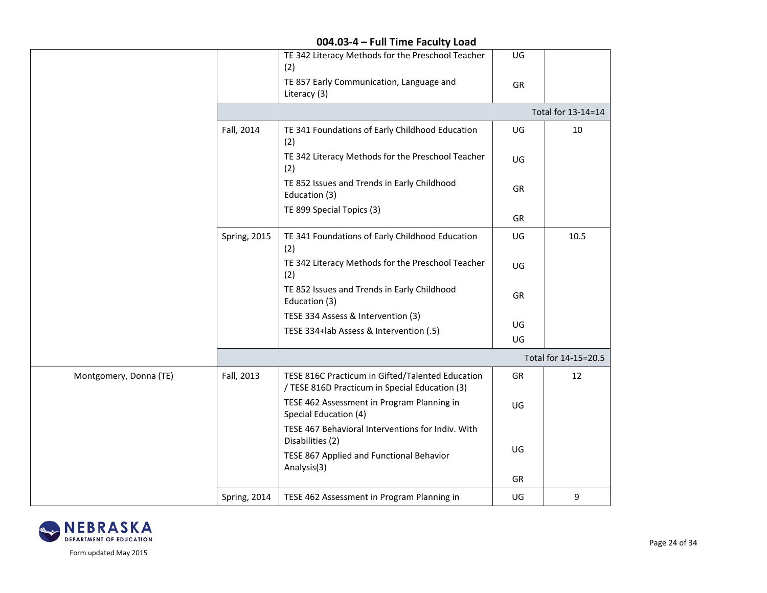|                        |                     | TE 342 Literacy Methods for the Preschool Teacher<br>(2)                                           | UG |                      |
|------------------------|---------------------|----------------------------------------------------------------------------------------------------|----|----------------------|
|                        |                     | TE 857 Early Communication, Language and<br>Literacy (3)                                           | GR |                      |
|                        |                     |                                                                                                    |    | Total for 13-14=14   |
|                        | Fall, 2014          | TE 341 Foundations of Early Childhood Education<br>(2)                                             | UG | 10                   |
|                        |                     | TE 342 Literacy Methods for the Preschool Teacher<br>(2)                                           | UG |                      |
|                        |                     | TE 852 Issues and Trends in Early Childhood<br>Education (3)                                       | GR |                      |
|                        |                     | TE 899 Special Topics (3)                                                                          | GR |                      |
|                        | <b>Spring, 2015</b> | TE 341 Foundations of Early Childhood Education<br>(2)                                             | UG | 10.5                 |
|                        |                     | TE 342 Literacy Methods for the Preschool Teacher<br>(2)                                           | UG |                      |
|                        |                     | TE 852 Issues and Trends in Early Childhood<br>Education (3)                                       | GR |                      |
|                        |                     | TESE 334 Assess & Intervention (3)                                                                 | UG |                      |
|                        |                     | TESE 334+lab Assess & Intervention (.5)                                                            | UG |                      |
|                        |                     |                                                                                                    |    | Total for 14-15=20.5 |
| Montgomery, Donna (TE) | Fall, 2013          | TESE 816C Practicum in Gifted/Talented Education<br>/ TESE 816D Practicum in Special Education (3) | GR | 12                   |
|                        |                     | TESE 462 Assessment in Program Planning in<br>Special Education (4)                                | UG |                      |
|                        |                     | TESE 467 Behavioral Interventions for Indiv. With<br>Disabilities (2)                              |    |                      |
|                        |                     | TESE 867 Applied and Functional Behavior<br>Analysis(3)                                            | UG |                      |
|                        |                     |                                                                                                    | GR |                      |
|                        | Spring, 2014        | TESE 462 Assessment in Program Planning in                                                         | UG | 9                    |

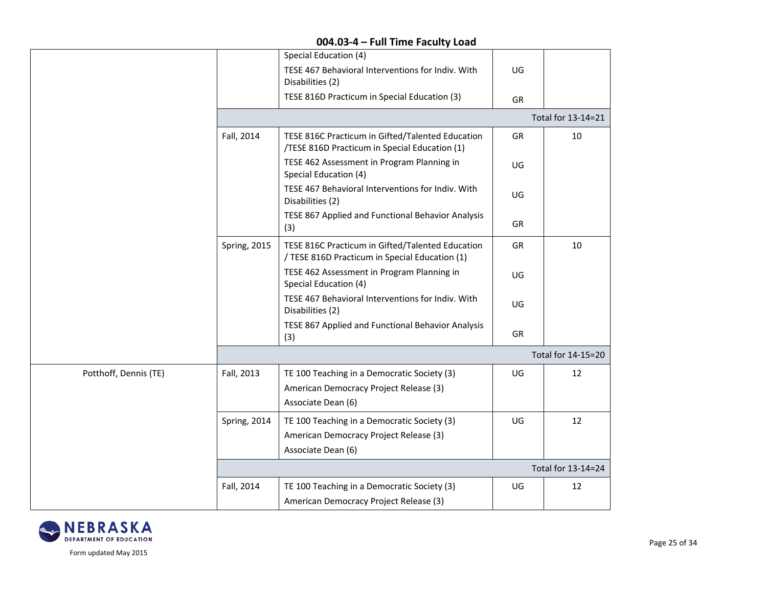|                       |              | Special Education (4)                                                                              |           |                    |
|-----------------------|--------------|----------------------------------------------------------------------------------------------------|-----------|--------------------|
|                       |              | TESE 467 Behavioral Interventions for Indiv. With<br>Disabilities (2)                              | UG        |                    |
|                       |              | TESE 816D Practicum in Special Education (3)                                                       | GR        |                    |
|                       |              |                                                                                                    |           | Total for 13-14=21 |
|                       | Fall, 2014   | TESE 816C Practicum in Gifted/Talented Education<br>/TESE 816D Practicum in Special Education (1)  | GR        | 10                 |
|                       |              | TESE 462 Assessment in Program Planning in<br>Special Education (4)                                | UG        |                    |
|                       |              | TESE 467 Behavioral Interventions for Indiv. With<br>Disabilities (2)                              | UG        |                    |
|                       |              | TESE 867 Applied and Functional Behavior Analysis<br>(3)                                           | GR        |                    |
|                       | Spring, 2015 | TESE 816C Practicum in Gifted/Talented Education<br>/ TESE 816D Practicum in Special Education (1) | GR        | 10                 |
|                       |              | TESE 462 Assessment in Program Planning in<br>Special Education (4)                                | UG        |                    |
|                       |              | TESE 467 Behavioral Interventions for Indiv. With<br>Disabilities (2)                              | UG        |                    |
|                       |              | TESE 867 Applied and Functional Behavior Analysis<br>(3)                                           | <b>GR</b> |                    |
|                       |              |                                                                                                    |           | Total for 14-15=20 |
| Potthoff, Dennis (TE) | Fall, 2013   | TE 100 Teaching in a Democratic Society (3)                                                        | UG        | 12                 |
|                       |              | American Democracy Project Release (3)                                                             |           |                    |
|                       |              | Associate Dean (6)                                                                                 |           |                    |
|                       | Spring, 2014 | TE 100 Teaching in a Democratic Society (3)                                                        | UG        | 12                 |
|                       |              | American Democracy Project Release (3)                                                             |           |                    |
|                       |              | Associate Dean (6)                                                                                 |           |                    |
|                       |              |                                                                                                    |           | Total for 13-14=24 |
|                       | Fall, 2014   | TE 100 Teaching in a Democratic Society (3)                                                        | UG        | 12                 |
|                       |              | American Democracy Project Release (3)                                                             |           |                    |

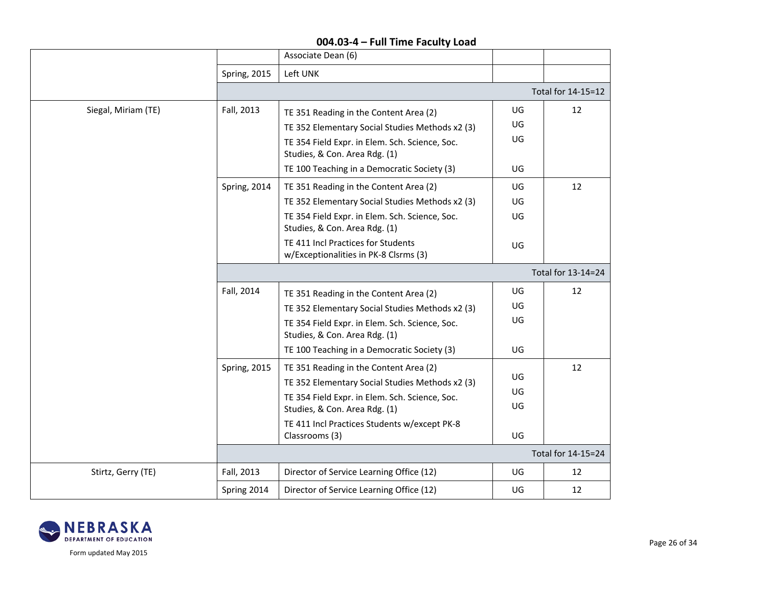|                     |                    | Associate Dean (6)                                                                                                                                                                                                                             |                      |                    |  |
|---------------------|--------------------|------------------------------------------------------------------------------------------------------------------------------------------------------------------------------------------------------------------------------------------------|----------------------|--------------------|--|
|                     | Spring, 2015       | Left UNK                                                                                                                                                                                                                                       |                      |                    |  |
|                     |                    |                                                                                                                                                                                                                                                |                      |                    |  |
|                     |                    |                                                                                                                                                                                                                                                |                      | Total for 14-15=12 |  |
| Siegal, Miriam (TE) | Fall, 2013         | TE 351 Reading in the Content Area (2)                                                                                                                                                                                                         | UG                   | 12                 |  |
|                     |                    | TE 352 Elementary Social Studies Methods x2 (3)                                                                                                                                                                                                | UG                   |                    |  |
|                     |                    | TE 354 Field Expr. in Elem. Sch. Science, Soc.<br>Studies, & Con. Area Rdg. (1)                                                                                                                                                                | UG                   |                    |  |
|                     |                    | TE 100 Teaching in a Democratic Society (3)                                                                                                                                                                                                    | UG                   |                    |  |
|                     | Spring, 2014       | TE 351 Reading in the Content Area (2)                                                                                                                                                                                                         | UG                   | 12                 |  |
|                     |                    | TE 352 Elementary Social Studies Methods x2 (3)                                                                                                                                                                                                | UG                   |                    |  |
|                     |                    | TE 354 Field Expr. in Elem. Sch. Science, Soc.<br>Studies, & Con. Area Rdg. (1)                                                                                                                                                                | UG                   |                    |  |
|                     |                    | TE 411 Incl Practices for Students<br>w/Exceptionalities in PK-8 Clsrms (3)                                                                                                                                                                    | UG                   |                    |  |
|                     | Total for 13-14=24 |                                                                                                                                                                                                                                                |                      |                    |  |
|                     | Fall, 2014         | TE 351 Reading in the Content Area (2)                                                                                                                                                                                                         | UG                   | 12                 |  |
|                     |                    | TE 352 Elementary Social Studies Methods x2 (3)                                                                                                                                                                                                | UG                   |                    |  |
|                     |                    | TE 354 Field Expr. in Elem. Sch. Science, Soc.<br>Studies, & Con. Area Rdg. (1)                                                                                                                                                                | UG                   |                    |  |
|                     |                    | TE 100 Teaching in a Democratic Society (3)                                                                                                                                                                                                    | UG                   |                    |  |
|                     | Spring, 2015       | TE 351 Reading in the Content Area (2)<br>TE 352 Elementary Social Studies Methods x2 (3)<br>TE 354 Field Expr. in Elem. Sch. Science, Soc.<br>Studies, & Con. Area Rdg. (1)<br>TE 411 Incl Practices Students w/except PK-8<br>Classrooms (3) | UG<br>UG<br>UG<br>UG | 12                 |  |
|                     |                    |                                                                                                                                                                                                                                                |                      | Total for 14-15=24 |  |
| Stirtz, Gerry (TE)  | Fall, 2013         | Director of Service Learning Office (12)                                                                                                                                                                                                       | UG                   | 12                 |  |
|                     | Spring 2014        | Director of Service Learning Office (12)                                                                                                                                                                                                       | UG                   | 12                 |  |

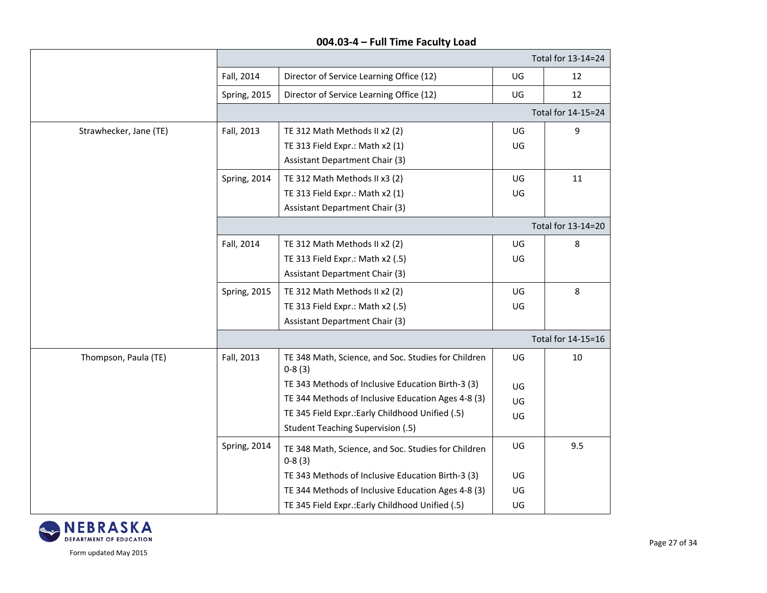|                        |              |                                                                 |    | Total for 13-14=24 |  |
|------------------------|--------------|-----------------------------------------------------------------|----|--------------------|--|
|                        | Fall, 2014   | Director of Service Learning Office (12)                        | UG | 12                 |  |
|                        | Spring, 2015 | Director of Service Learning Office (12)                        | UG | 12                 |  |
|                        |              |                                                                 |    | Total for 14-15=24 |  |
| Strawhecker, Jane (TE) | Fall, 2013   | TE 312 Math Methods II x2 (2)                                   | UG | 9                  |  |
|                        |              | TE 313 Field Expr.: Math x2 (1)                                 | UG |                    |  |
|                        |              | <b>Assistant Department Chair (3)</b>                           |    |                    |  |
|                        | Spring, 2014 | TE 312 Math Methods II x3 (2)                                   | UG | 11                 |  |
|                        |              | TE 313 Field Expr.: Math x2 (1)                                 | UG |                    |  |
|                        |              | <b>Assistant Department Chair (3)</b>                           |    |                    |  |
|                        |              |                                                                 |    | Total for 13-14=20 |  |
|                        | Fall, 2014   | TE 312 Math Methods II x2 (2)                                   | UG | 8                  |  |
|                        |              | TE 313 Field Expr.: Math x2 (.5)                                | UG |                    |  |
|                        |              | <b>Assistant Department Chair (3)</b>                           |    |                    |  |
|                        | Spring, 2015 | TE 312 Math Methods II x2 (2)                                   | UG | 8                  |  |
|                        |              | TE 313 Field Expr.: Math x2 (.5)                                | UG |                    |  |
|                        |              | <b>Assistant Department Chair (3)</b>                           |    |                    |  |
|                        |              |                                                                 |    | Total for 14-15=16 |  |
| Thompson, Paula (TE)   | Fall, 2013   | TE 348 Math, Science, and Soc. Studies for Children<br>$0-8(3)$ | UG | 10                 |  |
|                        |              | TE 343 Methods of Inclusive Education Birth-3 (3)               | UG |                    |  |
|                        |              | TE 344 Methods of Inclusive Education Ages 4-8 (3)              | UG |                    |  |
|                        |              | TE 345 Field Expr.: Early Childhood Unified (.5)                | UG |                    |  |
|                        |              | <b>Student Teaching Supervision (.5)</b>                        |    |                    |  |
|                        | Spring, 2014 | TE 348 Math, Science, and Soc. Studies for Children<br>$0-8(3)$ | UG | 9.5                |  |
|                        |              | TE 343 Methods of Inclusive Education Birth-3 (3)               | UG |                    |  |
|                        |              | TE 344 Methods of Inclusive Education Ages 4-8 (3)              | UG |                    |  |
|                        |              | TE 345 Field Expr.: Early Childhood Unified (.5)                | UG |                    |  |

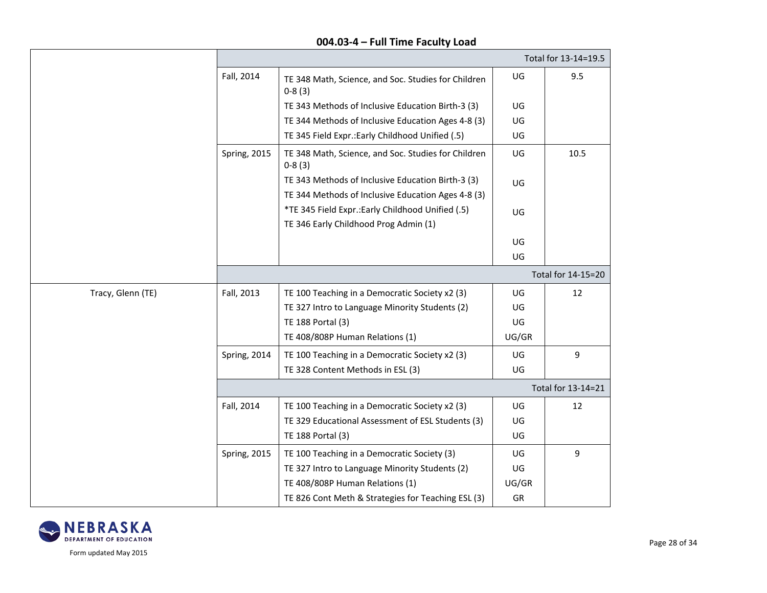|                   |                     |                                                                                                         |       | Total for 13-14=19.5 |
|-------------------|---------------------|---------------------------------------------------------------------------------------------------------|-------|----------------------|
|                   | Fall, 2014          | TE 348 Math, Science, and Soc. Studies for Children<br>$0-8(3)$                                         | UG    | 9.5                  |
|                   |                     | TE 343 Methods of Inclusive Education Birth-3 (3)                                                       | UG    |                      |
|                   |                     | TE 344 Methods of Inclusive Education Ages 4-8 (3)                                                      | UG    |                      |
|                   |                     | TE 345 Field Expr.: Early Childhood Unified (.5)                                                        | UG    |                      |
|                   | Spring, 2015        | TE 348 Math, Science, and Soc. Studies for Children<br>$0-8(3)$                                         | UG    | 10.5                 |
|                   |                     | TE 343 Methods of Inclusive Education Birth-3 (3)<br>TE 344 Methods of Inclusive Education Ages 4-8 (3) | UG    |                      |
|                   |                     | *TE 345 Field Expr .: Early Childhood Unified (.5)<br>TE 346 Early Childhood Prog Admin (1)             | UG    |                      |
|                   |                     |                                                                                                         | UG    |                      |
|                   |                     |                                                                                                         | UG    |                      |
|                   |                     |                                                                                                         |       | Total for 14-15=20   |
| Tracy, Glenn (TE) | Fall, 2013          | TE 100 Teaching in a Democratic Society x2 (3)                                                          | UG    | 12                   |
|                   |                     | TE 327 Intro to Language Minority Students (2)                                                          | UG    |                      |
|                   |                     | TE 188 Portal (3)                                                                                       | UG    |                      |
|                   |                     | TE 408/808P Human Relations (1)                                                                         | UG/GR |                      |
|                   | Spring, 2014        | TE 100 Teaching in a Democratic Society x2 (3)                                                          | UG    | 9                    |
|                   |                     | TE 328 Content Methods in ESL (3)                                                                       | UG    |                      |
|                   |                     |                                                                                                         |       | Total for 13-14=21   |
|                   | Fall, 2014          | TE 100 Teaching in a Democratic Society x2 (3)                                                          | UG    | 12                   |
|                   |                     | TE 329 Educational Assessment of ESL Students (3)                                                       | UG    |                      |
|                   |                     | TE 188 Portal (3)                                                                                       | UG    |                      |
|                   | <b>Spring, 2015</b> | TE 100 Teaching in a Democratic Society (3)                                                             | UG    | 9                    |
|                   |                     | TE 327 Intro to Language Minority Students (2)                                                          | UG    |                      |
|                   |                     | TE 408/808P Human Relations (1)                                                                         | UG/GR |                      |
|                   |                     | TE 826 Cont Meth & Strategies for Teaching ESL (3)                                                      | GR    |                      |

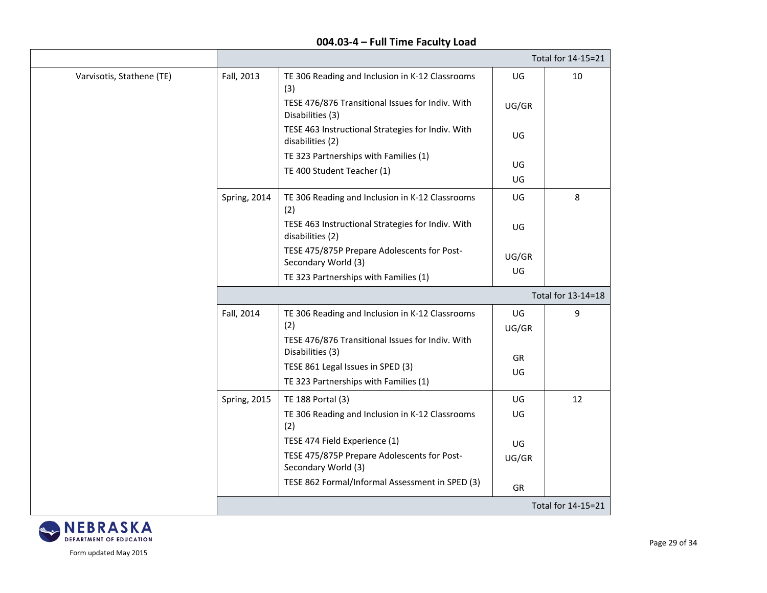|                           |                     |                                                                                                            |             | Total for 14-15=21 |  |
|---------------------------|---------------------|------------------------------------------------------------------------------------------------------------|-------------|--------------------|--|
| Varvisotis, Stathene (TE) | Fall, 2013          | TE 306 Reading and Inclusion in K-12 Classrooms<br>(3)                                                     | UG          | 10                 |  |
|                           |                     | TESE 476/876 Transitional Issues for Indiv. With<br>Disabilities (3)                                       | UG/GR       |                    |  |
|                           |                     | TESE 463 Instructional Strategies for Indiv. With<br>disabilities (2)                                      | UG          |                    |  |
|                           |                     | TE 323 Partnerships with Families (1)<br>TE 400 Student Teacher (1)                                        | UG<br>UG    |                    |  |
|                           | Spring, 2014        | TE 306 Reading and Inclusion in K-12 Classrooms<br>(2)                                                     | UG          | 8                  |  |
|                           |                     | TESE 463 Instructional Strategies for Indiv. With<br>disabilities (2)                                      | UG          |                    |  |
|                           |                     | TESE 475/875P Prepare Adolescents for Post-<br>Secondary World (3)                                         | UG/GR<br>UG |                    |  |
|                           |                     | TE 323 Partnerships with Families (1)                                                                      |             |                    |  |
|                           |                     | Total for 13-14=18                                                                                         |             |                    |  |
|                           | Fall, 2014          | TE 306 Reading and Inclusion in K-12 Classrooms<br>(2)<br>TESE 476/876 Transitional Issues for Indiv. With | UG<br>UG/GR | 9                  |  |
|                           |                     | Disabilities (3)<br>TESE 861 Legal Issues in SPED (3)<br>TE 323 Partnerships with Families (1)             | GR<br>UG    |                    |  |
|                           | <b>Spring, 2015</b> | TE 188 Portal (3)<br>TE 306 Reading and Inclusion in K-12 Classrooms<br>(2)                                | UG<br>UG    | 12                 |  |
|                           |                     | TESE 474 Field Experience (1)<br>TESE 475/875P Prepare Adolescents for Post-<br>Secondary World (3)        | UG<br>UG/GR |                    |  |
|                           |                     | TESE 862 Formal/Informal Assessment in SPED (3)                                                            | GR          |                    |  |
|                           |                     |                                                                                                            |             | Total for 14-15=21 |  |

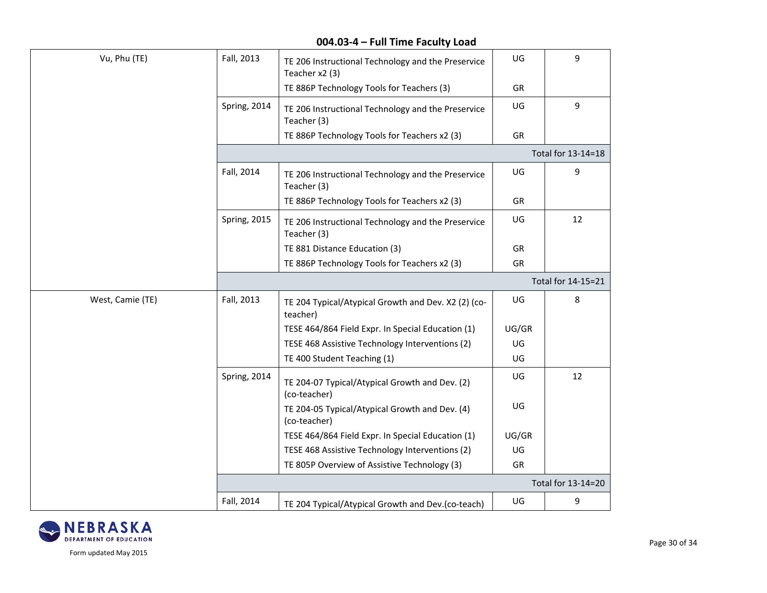| Fall, 2013         | TE 206 Instructional Technology and the Preservice<br>Teacher x2 (3) | UG    | 9                  |  |  |
|--------------------|----------------------------------------------------------------------|-------|--------------------|--|--|
|                    | TE 886P Technology Tools for Teachers (3)                            | GR    |                    |  |  |
| Spring, 2014       | TE 206 Instructional Technology and the Preservice<br>Teacher (3)    | UG    | 9                  |  |  |
|                    | TE 886P Technology Tools for Teachers x2 (3)                         | GR    |                    |  |  |
|                    | Total for 13-14=18                                                   |       |                    |  |  |
| Fall, 2014         | TE 206 Instructional Technology and the Preservice<br>Teacher (3)    | UG    | 9                  |  |  |
|                    | TE 886P Technology Tools for Teachers x2 (3)                         | GR    |                    |  |  |
| Spring, 2015       | TE 206 Instructional Technology and the Preservice<br>Teacher (3)    | UG    | 12                 |  |  |
|                    | TE 881 Distance Education (3)                                        | GR    |                    |  |  |
|                    | TE 886P Technology Tools for Teachers x2 (3)                         | GR    |                    |  |  |
|                    |                                                                      |       | Total for 14-15=21 |  |  |
| Fall, 2013         | TE 204 Typical/Atypical Growth and Dev. X2 (2) (co-<br>teacher)      | UG    | 8                  |  |  |
|                    | TESE 464/864 Field Expr. In Special Education (1)                    | UG/GR |                    |  |  |
|                    | TESE 468 Assistive Technology Interventions (2)                      | UG    |                    |  |  |
|                    | TE 400 Student Teaching (1)                                          | UG    |                    |  |  |
| Spring, 2014       | TE 204-07 Typical/Atypical Growth and Dev. (2)<br>(co-teacher)       | UG    | 12                 |  |  |
|                    | TE 204-05 Typical/Atypical Growth and Dev. (4)<br>(co-teacher)       | UG    |                    |  |  |
|                    | TESE 464/864 Field Expr. In Special Education (1)                    | UG/GR |                    |  |  |
|                    | TESE 468 Assistive Technology Interventions (2)                      | UG    |                    |  |  |
|                    | TE 805P Overview of Assistive Technology (3)                         | GR    |                    |  |  |
| Total for 13-14=20 |                                                                      |       |                    |  |  |
|                    |                                                                      |       |                    |  |  |
|                    |                                                                      |       |                    |  |  |

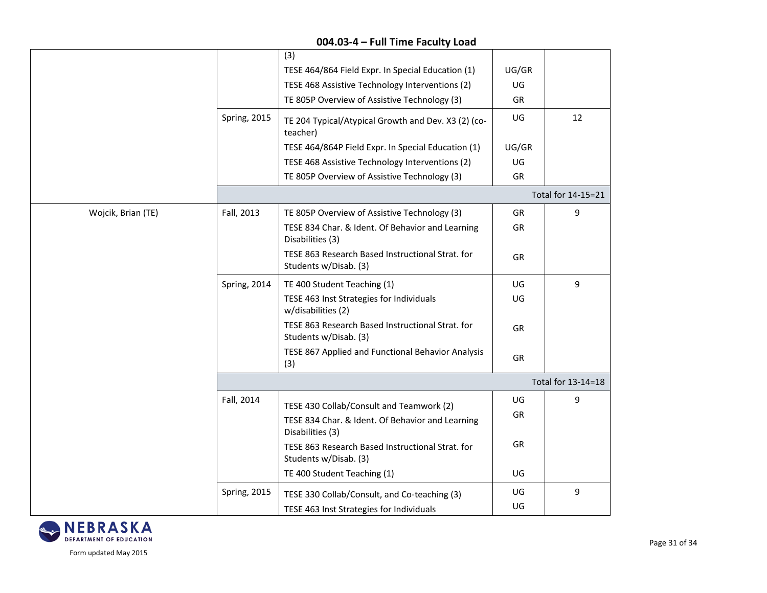|                    |              | (3)                                                                       |           |                    |  |  |
|--------------------|--------------|---------------------------------------------------------------------------|-----------|--------------------|--|--|
|                    |              | TESE 464/864 Field Expr. In Special Education (1)                         | UG/GR     |                    |  |  |
|                    |              | TESE 468 Assistive Technology Interventions (2)                           | UG        |                    |  |  |
|                    |              | TE 805P Overview of Assistive Technology (3)                              | GR        |                    |  |  |
|                    | Spring, 2015 | TE 204 Typical/Atypical Growth and Dev. X3 (2) (co-<br>teacher)           | UG        | 12                 |  |  |
|                    |              | TESE 464/864P Field Expr. In Special Education (1)                        | UG/GR     |                    |  |  |
|                    |              | TESE 468 Assistive Technology Interventions (2)                           | UG        |                    |  |  |
|                    |              | TE 805P Overview of Assistive Technology (3)                              | GR        |                    |  |  |
|                    |              |                                                                           |           | Total for 14-15=21 |  |  |
| Wojcik, Brian (TE) | Fall, 2013   | TE 805P Overview of Assistive Technology (3)                              | GR        | 9                  |  |  |
|                    |              | TESE 834 Char. & Ident. Of Behavior and Learning<br>Disabilities (3)      | <b>GR</b> |                    |  |  |
|                    |              | TESE 863 Research Based Instructional Strat. for<br>Students w/Disab. (3) | GR        |                    |  |  |
|                    | Spring, 2014 | TE 400 Student Teaching (1)                                               | UG        | 9                  |  |  |
|                    |              | TESE 463 Inst Strategies for Individuals<br>w/disabilities (2)            | UG        |                    |  |  |
|                    |              | TESE 863 Research Based Instructional Strat. for<br>Students w/Disab. (3) | GR        |                    |  |  |
|                    |              | TESE 867 Applied and Functional Behavior Analysis<br>(3)                  | GR        |                    |  |  |
|                    |              | Total for 13-14=18                                                        |           |                    |  |  |
|                    | Fall, 2014   | TESE 430 Collab/Consult and Teamwork (2)                                  | UG        | 9                  |  |  |
|                    |              |                                                                           | GR        |                    |  |  |
|                    |              | TESE 834 Char. & Ident. Of Behavior and Learning<br>Disabilities (3)      |           |                    |  |  |
|                    |              | TESE 863 Research Based Instructional Strat. for<br>Students w/Disab. (3) | GR        |                    |  |  |
|                    |              | TE 400 Student Teaching (1)                                               | UG        |                    |  |  |
|                    | Spring, 2015 | TESE 330 Collab/Consult, and Co-teaching (3)                              | UG        | 9                  |  |  |
|                    |              | TESE 463 Inst Strategies for Individuals                                  | UG        |                    |  |  |
|                    |              |                                                                           |           |                    |  |  |

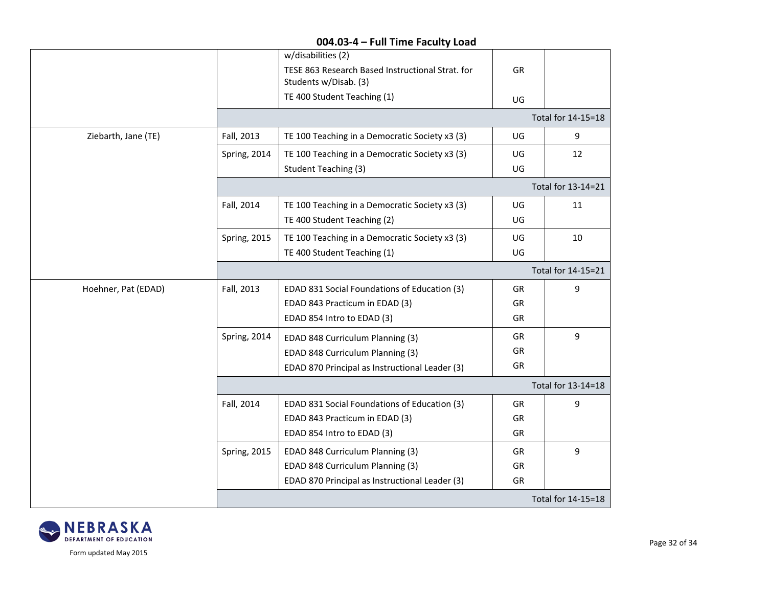|                     |                     | 004.03-4 - 1 GH THILE LACUILY LOAU                                                              |           |                    |
|---------------------|---------------------|-------------------------------------------------------------------------------------------------|-----------|--------------------|
|                     |                     | w/disabilities (2)<br>TESE 863 Research Based Instructional Strat. for<br>Students w/Disab. (3) | <b>GR</b> |                    |
|                     |                     | TE 400 Student Teaching (1)                                                                     | UG        |                    |
|                     |                     |                                                                                                 |           | Total for 14-15=18 |
| Ziebarth, Jane (TE) | Fall, 2013          | TE 100 Teaching in a Democratic Society x3 (3)                                                  | UG        | 9                  |
|                     | Spring, 2014        | TE 100 Teaching in a Democratic Society x3 (3)                                                  | UG        | 12                 |
|                     |                     | <b>Student Teaching (3)</b>                                                                     | UG        |                    |
|                     |                     |                                                                                                 |           | Total for 13-14=21 |
|                     | Fall, 2014          | TE 100 Teaching in a Democratic Society x3 (3)                                                  | UG        | 11                 |
|                     |                     | TE 400 Student Teaching (2)                                                                     | UG        |                    |
|                     | <b>Spring, 2015</b> | TE 100 Teaching in a Democratic Society x3 (3)                                                  | UG        | 10                 |
|                     |                     | TE 400 Student Teaching (1)                                                                     | UG        |                    |
|                     |                     |                                                                                                 |           | Total for 14-15=21 |
| Hoehner, Pat (EDAD) | Fall, 2013          | EDAD 831 Social Foundations of Education (3)                                                    | GR        | 9                  |
|                     |                     | EDAD 843 Practicum in EDAD (3)                                                                  | GR        |                    |
|                     |                     | EDAD 854 Intro to EDAD (3)                                                                      | GR        |                    |
|                     | Spring, 2014        | EDAD 848 Curriculum Planning (3)                                                                | GR        | 9                  |
|                     |                     | EDAD 848 Curriculum Planning (3)                                                                | GR        |                    |
|                     |                     | EDAD 870 Principal as Instructional Leader (3)                                                  | GR        |                    |
|                     |                     |                                                                                                 |           | Total for 13-14=18 |
|                     | Fall, 2014          | EDAD 831 Social Foundations of Education (3)                                                    | GR        | 9                  |
|                     |                     | EDAD 843 Practicum in EDAD (3)                                                                  | GR        |                    |
|                     |                     | EDAD 854 Intro to EDAD (3)                                                                      | GR        |                    |
|                     | Spring, 2015        | EDAD 848 Curriculum Planning (3)                                                                | GR        | 9                  |
|                     |                     | EDAD 848 Curriculum Planning (3)                                                                | GR        |                    |
|                     |                     | EDAD 870 Principal as Instructional Leader (3)                                                  | GR        |                    |
|                     |                     |                                                                                                 |           | Total for 14-15=18 |

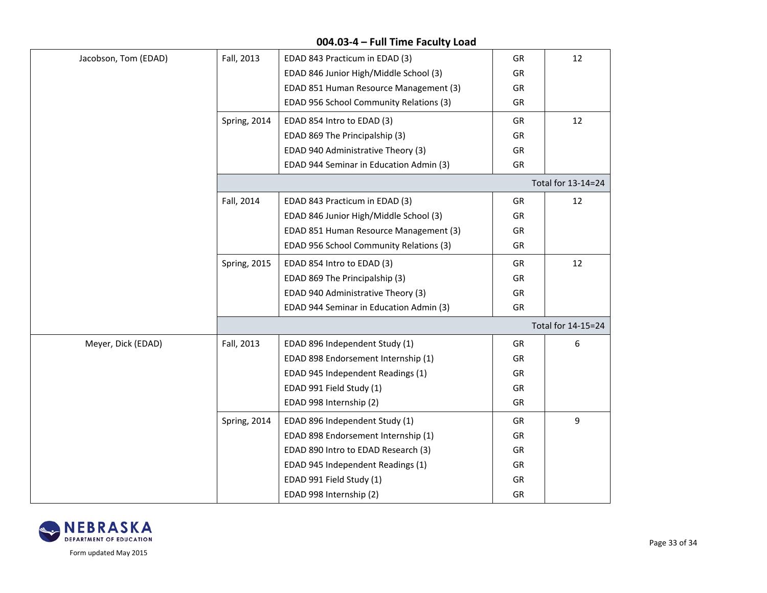| Jacobson, Tom (EDAD) | Fall, 2013          | EDAD 843 Practicum in EDAD (3)          | GR        | 12                 |
|----------------------|---------------------|-----------------------------------------|-----------|--------------------|
|                      |                     | EDAD 846 Junior High/Middle School (3)  | GR        |                    |
|                      |                     | EDAD 851 Human Resource Management (3)  | GR        |                    |
|                      |                     | EDAD 956 School Community Relations (3) | GR        |                    |
|                      | Spring, 2014        | EDAD 854 Intro to EDAD (3)              | GR        | 12                 |
|                      |                     | EDAD 869 The Principalship (3)          | GR        |                    |
|                      |                     | EDAD 940 Administrative Theory (3)      | GR        |                    |
|                      |                     | EDAD 944 Seminar in Education Admin (3) | GR        |                    |
|                      |                     |                                         |           | Total for 13-14=24 |
|                      | Fall, 2014          | EDAD 843 Practicum in EDAD (3)          | <b>GR</b> | 12                 |
|                      |                     | EDAD 846 Junior High/Middle School (3)  | GR        |                    |
|                      |                     | EDAD 851 Human Resource Management (3)  | GR        |                    |
|                      |                     | EDAD 956 School Community Relations (3) | GR        |                    |
|                      | <b>Spring, 2015</b> | EDAD 854 Intro to EDAD (3)              | GR        | 12                 |
|                      |                     | EDAD 869 The Principalship (3)          | GR        |                    |
|                      |                     | EDAD 940 Administrative Theory (3)      | GR        |                    |
|                      |                     | EDAD 944 Seminar in Education Admin (3) | GR        |                    |
|                      |                     |                                         |           | Total for 14-15=24 |
| Meyer, Dick (EDAD)   | Fall, 2013          | EDAD 896 Independent Study (1)          | GR        | 6                  |
|                      |                     | EDAD 898 Endorsement Internship (1)     | <b>GR</b> |                    |
|                      |                     | EDAD 945 Independent Readings (1)       | GR        |                    |
|                      |                     | EDAD 991 Field Study (1)                | GR        |                    |
|                      |                     | EDAD 998 Internship (2)                 | GR        |                    |
|                      | Spring, 2014        | EDAD 896 Independent Study (1)          | GR        | 9                  |
|                      |                     | EDAD 898 Endorsement Internship (1)     | GR        |                    |
|                      |                     | EDAD 890 Intro to EDAD Research (3)     | GR        |                    |
|                      |                     | EDAD 945 Independent Readings (1)       | GR        |                    |
|                      |                     | EDAD 991 Field Study (1)                | GR        |                    |
|                      |                     | EDAD 998 Internship (2)                 | GR        |                    |